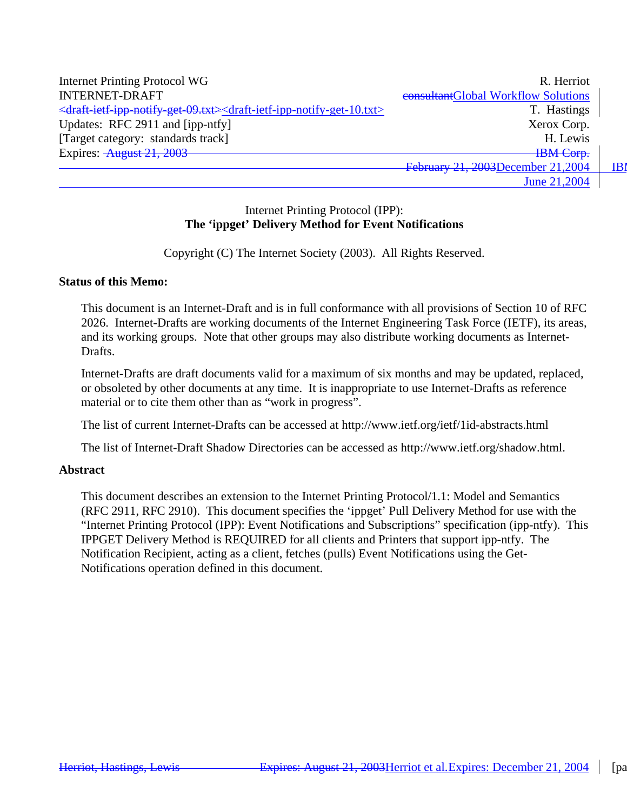| Internet Printing Protocol WG                                                                                                              | R. Herriot                          |     |
|--------------------------------------------------------------------------------------------------------------------------------------------|-------------------------------------|-----|
| <b>INTERNET-DRAFT</b>                                                                                                                      | consultantGlobal Workflow Solutions |     |
| <draft-ietf-ipp-notify-get-09.txt><draft-ietf-ipp-notify-get-10.txt></draft-ietf-ipp-notify-get-10.txt></draft-ietf-ipp-notify-get-09.txt> | T. Hastings                         |     |
| Updates: RFC 2911 and [ipp-ntfy]                                                                                                           | Xerox Corp.                         |     |
| [Target category: standards track]                                                                                                         | H. Lewis                            |     |
| Expires: August 21, 2003                                                                                                                   | <b>IBM</b> Corp.                    |     |
|                                                                                                                                            | February 21, 2003December 21, 2004  | IBI |
|                                                                                                                                            | June 21,2004                        |     |

### Internet Printing Protocol (IPP): **The 'ippget' Delivery Method for Event Notifications**

Copyright (C) The Internet Society (2003). All Rights Reserved.

#### **Status of this Memo:**

This document is an Internet-Draft and is in full conformance with all provisions of Section 10 of RFC 2026. Internet-Drafts are working documents of the Internet Engineering Task Force (IETF), its areas, and its working groups. Note that other groups may also distribute working documents as Internet-Drafts.

Internet-Drafts are draft documents valid for a maximum of six months and may be updated, replaced, or obsoleted by other documents at any time. It is inappropriate to use Internet-Drafts as reference material or to cite them other than as "work in progress".

The list of current Internet-Drafts can be accessed at http://www.ietf.org/ietf/1id-abstracts.html

The list of Internet-Draft Shadow Directories can be accessed as http://www.ietf.org/shadow.html.

#### **Abstract**

This document describes an extension to the Internet Printing Protocol/1.1: Model and Semantics (RFC 2911, RFC 2910). This document specifies the 'ippget' Pull Delivery Method for use with the "Internet Printing Protocol (IPP): Event Notifications and Subscriptions" specification (ipp-ntfy). This IPPGET Delivery Method is REQUIRED for all clients and Printers that support ipp-ntfy. The Notification Recipient, acting as a client, fetches (pulls) Event Notifications using the Get-Notifications operation defined in this document.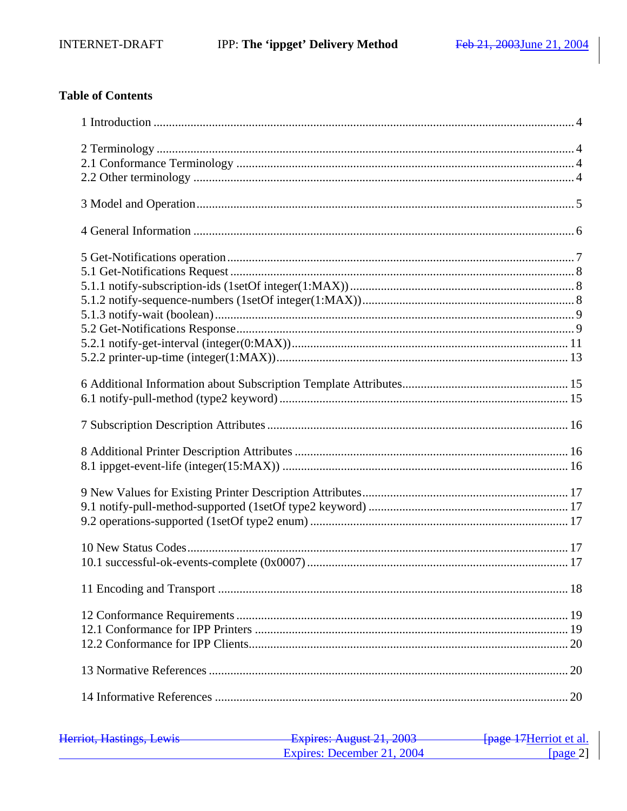## **Table of Contents**

| Harriot Hactings Lawis<br><b>HUIHUL, HUBUHIAD, LUWID</b> | $F$ $\frac{1}{2}$ $\frac{1}{2}$ $\frac{1}{2}$ $\frac{1}{2}$ $\frac{1}{2}$ $\frac{1}{2}$ $\frac{1}{2}$ $\frac{1}{2}$ $\frac{1}{2}$ $\frac{1}{2}$ $\frac{1}{2}$ $\frac{1}{2}$ $\frac{1}{2}$ $\frac{1}{2}$ $\frac{1}{2}$ $\frac{1}{2}$ $\frac{1}{2}$ $\frac{1}{2}$ $\frac{1}{2}$ $\frac{1}{2}$ $\frac{1}{2}$ $\frac{1}{2$<br>T | <del>fpage 17</del> Herriot et al. |
|----------------------------------------------------------|-----------------------------------------------------------------------------------------------------------------------------------------------------------------------------------------------------------------------------------------------------------------------------------------------------------------------------|------------------------------------|
|                                                          | Expires: December 21, 2004                                                                                                                                                                                                                                                                                                  | [ $page 2$ ]                       |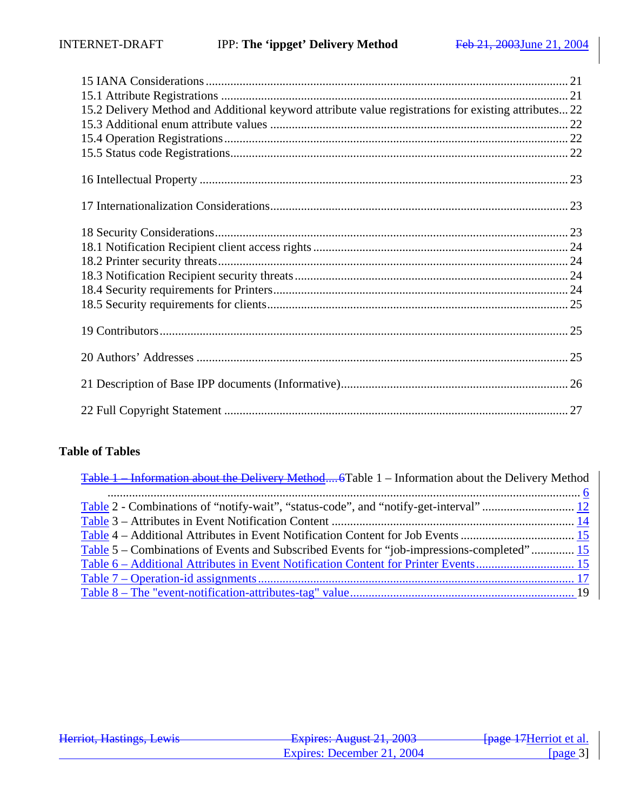| 15.2 Delivery Method and Additional keyword attribute value registrations for existing attributes 22 |
|------------------------------------------------------------------------------------------------------|
|                                                                                                      |
|                                                                                                      |
|                                                                                                      |
|                                                                                                      |
|                                                                                                      |
|                                                                                                      |
|                                                                                                      |

## **Table of Tables**

| Table 1 - Information about the Delivery Method 6Table 1 - Information about the Delivery Method |  |
|--------------------------------------------------------------------------------------------------|--|
|                                                                                                  |  |
|                                                                                                  |  |
|                                                                                                  |  |
|                                                                                                  |  |
| Table 5 – Combinations of Events and Subscribed Events for "job-impressions-completed" 15        |  |
|                                                                                                  |  |
|                                                                                                  |  |
|                                                                                                  |  |

| Harriot Haetings Lawis  | Evnirac: $\Lambda$ ugust 21 2003 | <del>[page 17</del> Herriot et al. |
|-------------------------|----------------------------------|------------------------------------|
| Hennot, Hastings, Lewis | T                                |                                    |
|                         | Expires: December 21, 2004       | [ $page 3$ ]                       |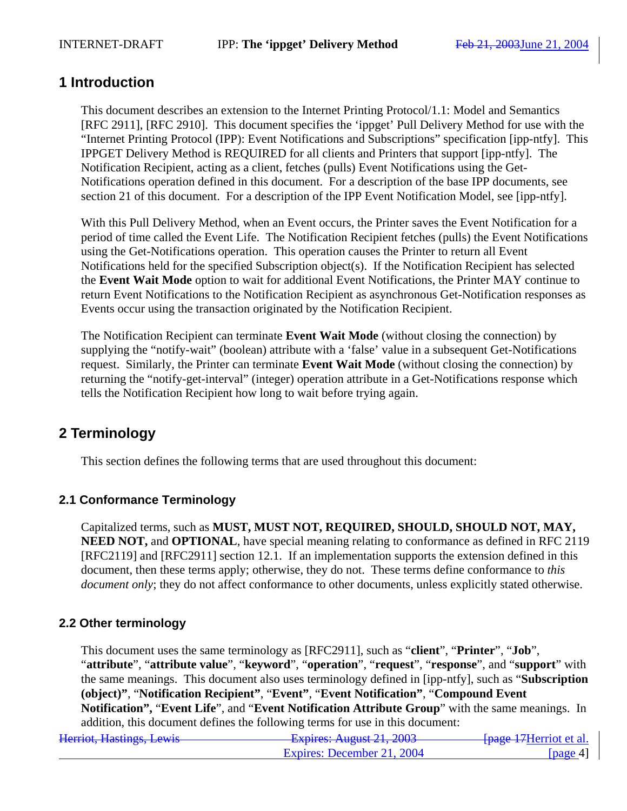## **1 Introduction**

This document describes an extension to the Internet Printing Protocol/1.1: Model and Semantics [RFC 2911], [RFC 2910]. This document specifies the 'ippget' Pull Delivery Method for use with the "Internet Printing Protocol (IPP): Event Notifications and Subscriptions" specification [ipp-ntfy]. This IPPGET Delivery Method is REQUIRED for all clients and Printers that support [ipp-ntfy]. The Notification Recipient, acting as a client, fetches (pulls) Event Notifications using the Get-Notifications operation defined in this document. For a description of the base IPP documents, see section 21 of this document. For a description of the IPP Event Notification Model, see [ipp-ntfy].

With this Pull Delivery Method, when an Event occurs, the Printer saves the Event Notification for a period of time called the Event Life. The Notification Recipient fetches (pulls) the Event Notifications using the Get-Notifications operation. This operation causes the Printer to return all Event Notifications held for the specified Subscription object(s). If the Notification Recipient has selected the **Event Wait Mode** option to wait for additional Event Notifications, the Printer MAY continue to return Event Notifications to the Notification Recipient as asynchronous Get-Notification responses as Events occur using the transaction originated by the Notification Recipient.

The Notification Recipient can terminate **Event Wait Mode** (without closing the connection) by supplying the "notify-wait" (boolean) attribute with a 'false' value in a subsequent Get-Notifications request. Similarly, the Printer can terminate **Event Wait Mode** (without closing the connection) by returning the "notify-get-interval" (integer) operation attribute in a Get-Notifications response which tells the Notification Recipient how long to wait before trying again.

## **2 Terminology**

This section defines the following terms that are used throughout this document:

### **2.1 Conformance Terminology**

Capitalized terms, such as **MUST, MUST NOT, REQUIRED, SHOULD, SHOULD NOT, MAY, NEED NOT, and <b>OPTIONAL**, have special meaning relating to conformance as defined in RFC 2119 [RFC2119] and [RFC2911] section 12.1. If an implementation supports the extension defined in this document, then these terms apply; otherwise, they do not. These terms define conformance to *this document only*; they do not affect conformance to other documents, unless explicitly stated otherwise.

### **2.2 Other terminology**

This document uses the same terminology as [RFC2911], such as "**client**", "**Printer**", "**Job**", "**attribute**", "**attribute value**", "**keyword**", "**operation**", "**request**", "**response**", and "**support**" with the same meanings. This document also uses terminology defined in [ipp-ntfy], such as "**Subscription (object)"**, "**Notification Recipient"**, "**Event"**, "**Event Notification"**, "**Compound Event Notification",** "**Event Life**", and "**Event Notification Attribute Group**" with the same meanings. In addition, this document defines the following terms for use in this document:

| Harriot Hactings Lawis<br>Hernot, Hastings, Lewis | Evnirac: $\Lambda$ ugust 21 2003<br><u>- L'Aprico, August 21, 2005</u> | <del>[page 17</del> Herriot et al. |
|---------------------------------------------------|------------------------------------------------------------------------|------------------------------------|
|                                                   | Expires: December 21, 2004                                             | [page 4]                           |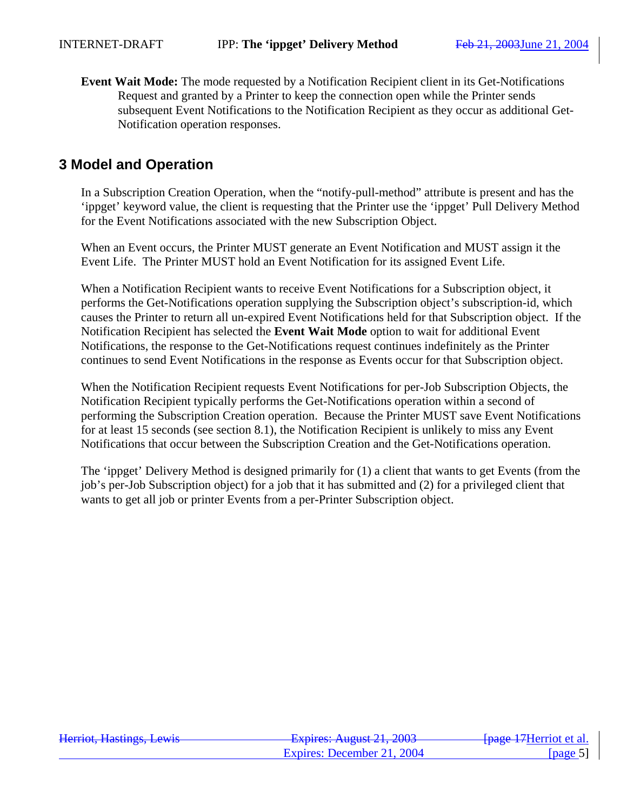**Event Wait Mode:** The mode requested by a Notification Recipient client in its Get-Notifications Request and granted by a Printer to keep the connection open while the Printer sends subsequent Event Notifications to the Notification Recipient as they occur as additional Get-Notification operation responses.

## **3 Model and Operation**

In a Subscription Creation Operation, when the "notify-pull-method" attribute is present and has the 'ippget' keyword value, the client is requesting that the Printer use the 'ippget' Pull Delivery Method for the Event Notifications associated with the new Subscription Object.

When an Event occurs, the Printer MUST generate an Event Notification and MUST assign it the Event Life. The Printer MUST hold an Event Notification for its assigned Event Life.

When a Notification Recipient wants to receive Event Notifications for a Subscription object, it performs the Get-Notifications operation supplying the Subscription object's subscription-id, which causes the Printer to return all un-expired Event Notifications held for that Subscription object. If the Notification Recipient has selected the **Event Wait Mode** option to wait for additional Event Notifications, the response to the Get-Notifications request continues indefinitely as the Printer continues to send Event Notifications in the response as Events occur for that Subscription object.

When the Notification Recipient requests Event Notifications for per-Job Subscription Objects, the Notification Recipient typically performs the Get-Notifications operation within a second of performing the Subscription Creation operation. Because the Printer MUST save Event Notifications for at least 15 seconds (see section 8.1), the Notification Recipient is unlikely to miss any Event Notifications that occur between the Subscription Creation and the Get-Notifications operation.

The 'ippget' Delivery Method is designed primarily for (1) a client that wants to get Events (from the job's per-Job Subscription object) for a job that it has submitted and (2) for a privileged client that wants to get all job or printer Events from a per-Printer Subscription object.

| Harriot Hactings Lawis<br>Hemot, Hastings, Lewis | $F$ $V$ nirac: August 21, 2002<br><del>12 phos. August 21, 2003</del> | <del>- [page 17</del> Herriot et al. |
|--------------------------------------------------|-----------------------------------------------------------------------|--------------------------------------|
|                                                  | Expires: December 21, 2004                                            | [ $page 5$ ]                         |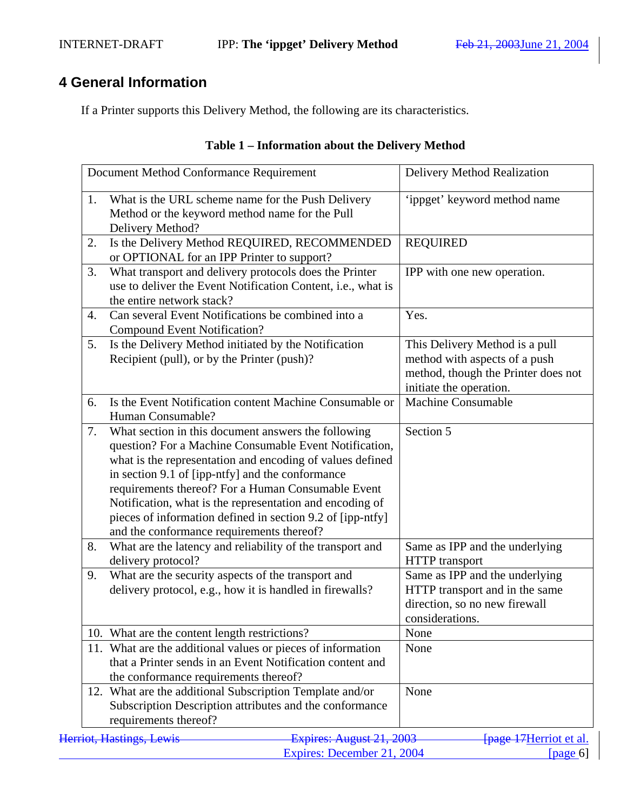# **4 General Information**

If a Printer supports this Delivery Method, the following are its characteristics.

| Table 1 – Information about the Delivery Method |  |
|-------------------------------------------------|--|
|-------------------------------------------------|--|

|    | Document Method Conformance Requirement                                                                                                                                                                                                                                                                                                                                                                                                                     | Delivery Method Realization                                                                                                       |
|----|-------------------------------------------------------------------------------------------------------------------------------------------------------------------------------------------------------------------------------------------------------------------------------------------------------------------------------------------------------------------------------------------------------------------------------------------------------------|-----------------------------------------------------------------------------------------------------------------------------------|
| 1. | What is the URL scheme name for the Push Delivery<br>Method or the keyword method name for the Pull<br>Delivery Method?                                                                                                                                                                                                                                                                                                                                     | 'ippget' keyword method name                                                                                                      |
| 2. | Is the Delivery Method REQUIRED, RECOMMENDED<br>or OPTIONAL for an IPP Printer to support?                                                                                                                                                                                                                                                                                                                                                                  | <b>REQUIRED</b>                                                                                                                   |
| 3. | What transport and delivery protocols does the Printer<br>use to deliver the Event Notification Content, i.e., what is<br>the entire network stack?                                                                                                                                                                                                                                                                                                         | IPP with one new operation.                                                                                                       |
| 4. | Can several Event Notifications be combined into a<br><b>Compound Event Notification?</b>                                                                                                                                                                                                                                                                                                                                                                   | Yes.                                                                                                                              |
| 5. | Is the Delivery Method initiated by the Notification<br>Recipient (pull), or by the Printer (push)?                                                                                                                                                                                                                                                                                                                                                         | This Delivery Method is a pull<br>method with aspects of a push<br>method, though the Printer does not<br>initiate the operation. |
| 6. | Is the Event Notification content Machine Consumable or<br>Human Consumable?                                                                                                                                                                                                                                                                                                                                                                                | <b>Machine Consumable</b>                                                                                                         |
| 7. | What section in this document answers the following<br>question? For a Machine Consumable Event Notification,<br>what is the representation and encoding of values defined<br>in section 9.1 of [ipp-ntfy] and the conformance<br>requirements thereof? For a Human Consumable Event<br>Notification, what is the representation and encoding of<br>pieces of information defined in section 9.2 of [ipp-ntfy]<br>and the conformance requirements thereof? | Section 5                                                                                                                         |
| 8. | What are the latency and reliability of the transport and<br>delivery protocol?                                                                                                                                                                                                                                                                                                                                                                             | Same as IPP and the underlying<br><b>HTTP</b> transport                                                                           |
| 9. | What are the security aspects of the transport and<br>delivery protocol, e.g., how it is handled in firewalls?                                                                                                                                                                                                                                                                                                                                              | Same as IPP and the underlying<br>HTTP transport and in the same<br>direction, so no new firewall<br>considerations.              |
|    | 10. What are the content length restrictions?                                                                                                                                                                                                                                                                                                                                                                                                               | None                                                                                                                              |
|    | 11. What are the additional values or pieces of information<br>that a Printer sends in an Event Notification content and<br>the conformance requirements thereof?                                                                                                                                                                                                                                                                                           | None                                                                                                                              |
|    | 12. What are the additional Subscription Template and/or<br>Subscription Description attributes and the conformance<br>requirements thereof?                                                                                                                                                                                                                                                                                                                | None                                                                                                                              |
|    | Herriot, Hastings, Lewis<br>Expires: August 21, 2003                                                                                                                                                                                                                                                                                                                                                                                                        | <b>[page 17</b> Herriot et al.                                                                                                    |
|    | Expires: December 21, 2004                                                                                                                                                                                                                                                                                                                                                                                                                                  | [page $6$ ]                                                                                                                       |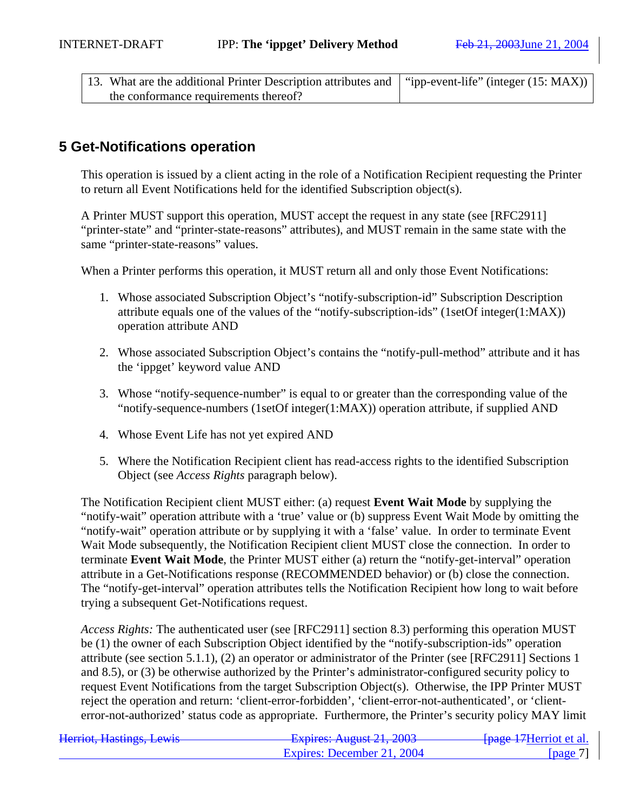| 13. What are the additional Printer Description attributes and   "ipp-event-life" (integer (15: MAX)) |  |
|-------------------------------------------------------------------------------------------------------|--|
| the conformance requirements thereof?                                                                 |  |

## **5 Get-Notifications operation**

This operation is issued by a client acting in the role of a Notification Recipient requesting the Printer to return all Event Notifications held for the identified Subscription object(s).

A Printer MUST support this operation, MUST accept the request in any state (see [RFC2911] "printer-state" and "printer-state-reasons" attributes), and MUST remain in the same state with the same "printer-state-reasons" values.

When a Printer performs this operation, it MUST return all and only those Event Notifications:

- 1. Whose associated Subscription Object's "notify-subscription-id" Subscription Description attribute equals one of the values of the "notify-subscription-ids" (1setOf integer(1:MAX)) operation attribute AND
- 2. Whose associated Subscription Object's contains the "notify-pull-method" attribute and it has the 'ippget' keyword value AND
- 3. Whose "notify-sequence-number" is equal to or greater than the corresponding value of the "notify-sequence-numbers (1setOf integer(1:MAX)) operation attribute, if supplied AND
- 4. Whose Event Life has not yet expired AND
- 5. Where the Notification Recipient client has read-access rights to the identified Subscription Object (see *Access Rights* paragraph below).

The Notification Recipient client MUST either: (a) request **Event Wait Mode** by supplying the "notify-wait" operation attribute with a 'true' value or (b) suppress Event Wait Mode by omitting the "notify-wait" operation attribute or by supplying it with a 'false' value. In order to terminate Event Wait Mode subsequently, the Notification Recipient client MUST close the connection. In order to terminate **Event Wait Mode**, the Printer MUST either (a) return the "notify-get-interval" operation attribute in a Get-Notifications response (RECOMMENDED behavior) or (b) close the connection. The "notify-get-interval" operation attributes tells the Notification Recipient how long to wait before trying a subsequent Get-Notifications request.

*Access Rights:* The authenticated user (see [RFC2911] section 8.3) performing this operation MUST be (1) the owner of each Subscription Object identified by the "notify-subscription-ids" operation attribute (see section 5.1.1), (2) an operator or administrator of the Printer (see [RFC2911] Sections 1 and 8.5), or (3) be otherwise authorized by the Printer's administrator-configured security policy to request Event Notifications from the target Subscription Object(s). Otherwise, the IPP Printer MUST reject the operation and return: 'client-error-forbidden', 'client-error-not-authenticated', or 'clienterror-not-authorized' status code as appropriate. Furthermore, the Printer's security policy MAY limit

| Harriot Hactings Lawis<br>Hennot, Hastings, Lewis | Evnirac: $\Lambda$ ugust 21 2003<br>$\frac{1}{4}$ $\frac{1}{4}$ $\frac{1}{4}$ $\frac{1}{4}$ $\frac{1}{4}$ $\frac{1}{4}$ $\frac{1}{4}$ $\frac{1}{4}$ $\frac{1}{4}$ $\frac{1}{4}$ $\frac{1}{4}$ $\frac{1}{4}$ $\frac{1}{4}$ $\frac{1}{4}$ $\frac{1}{4}$ $\frac{1}{4}$ $\frac{1}{4}$ $\frac{1}{4}$ $\frac{1}{4}$ $\frac{1}{4}$ $\frac{1}{4}$ $\frac{1}{4}$ | <del>fpage 17</del> Herriot et al. |
|---------------------------------------------------|---------------------------------------------------------------------------------------------------------------------------------------------------------------------------------------------------------------------------------------------------------------------------------------------------------------------------------------------------------|------------------------------------|
|                                                   | Expires: December 21, 2004                                                                                                                                                                                                                                                                                                                              | $\lceil \text{page 7} \rceil$      |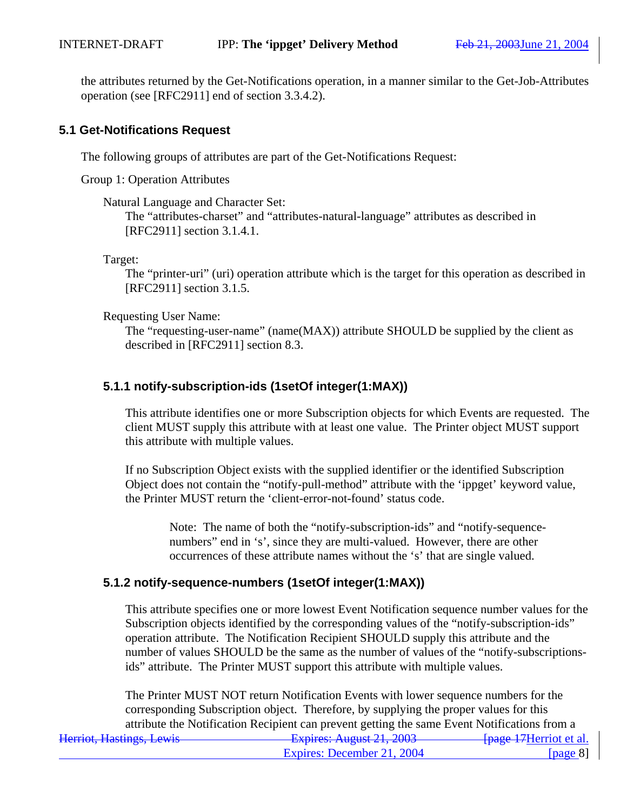the attributes returned by the Get-Notifications operation, in a manner similar to the Get-Job-Attributes operation (see [RFC2911] end of section 3.3.4.2).

### **5.1 Get-Notifications Request**

The following groups of attributes are part of the Get-Notifications Request:

Group 1: Operation Attributes

#### Natural Language and Character Set:

The "attributes-charset" and "attributes-natural-language" attributes as described in [RFC2911] section 3.1.4.1.

Target:

The "printer-uri" (uri) operation attribute which is the target for this operation as described in [RFC2911] section 3.1.5.

#### Requesting User Name:

The "requesting-user-name" (name(MAX)) attribute SHOULD be supplied by the client as described in [RFC2911] section 8.3.

## **5.1.1 notify-subscription-ids (1setOf integer(1:MAX))**

This attribute identifies one or more Subscription objects for which Events are requested. The client MUST supply this attribute with at least one value. The Printer object MUST support this attribute with multiple values.

If no Subscription Object exists with the supplied identifier or the identified Subscription Object does not contain the "notify-pull-method" attribute with the 'ippget' keyword value, the Printer MUST return the 'client-error-not-found' status code.

Note: The name of both the "notify-subscription-ids" and "notify-sequencenumbers" end in 's', since they are multi-valued. However, there are other occurrences of these attribute names without the 's' that are single valued.

### **5.1.2 notify-sequence-numbers (1setOf integer(1:MAX))**

This attribute specifies one or more lowest Event Notification sequence number values for the Subscription objects identified by the corresponding values of the "notify-subscription-ids" operation attribute. The Notification Recipient SHOULD supply this attribute and the number of values SHOULD be the same as the number of values of the "notify-subscriptionsids" attribute. The Printer MUST support this attribute with multiple values.

Herriot, Hastings, Lewis **Expires: August 21, 2003** [page 17Herriot et al.] The Printer MUST NOT return Notification Events with lower sequence numbers for the corresponding Subscription object. Therefore, by supplying the proper values for this attribute the Notification Recipient can prevent getting the same Event Notifications from a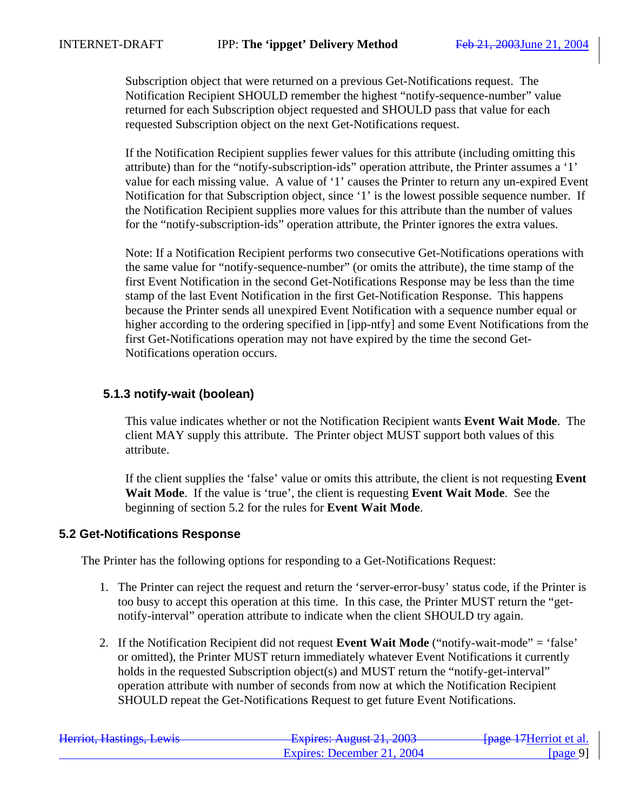Subscription object that were returned on a previous Get-Notifications request. The Notification Recipient SHOULD remember the highest "notify-sequence-number" value returned for each Subscription object requested and SHOULD pass that value for each requested Subscription object on the next Get-Notifications request.

If the Notification Recipient supplies fewer values for this attribute (including omitting this attribute) than for the "notify-subscription-ids" operation attribute, the Printer assumes a '1' value for each missing value. A value of '1' causes the Printer to return any un-expired Event Notification for that Subscription object, since '1' is the lowest possible sequence number. If the Notification Recipient supplies more values for this attribute than the number of values for the "notify-subscription-ids" operation attribute, the Printer ignores the extra values.

Note: If a Notification Recipient performs two consecutive Get-Notifications operations with the same value for "notify-sequence-number" (or omits the attribute), the time stamp of the first Event Notification in the second Get-Notifications Response may be less than the time stamp of the last Event Notification in the first Get-Notification Response. This happens because the Printer sends all unexpired Event Notification with a sequence number equal or higher according to the ordering specified in [ipp-ntfy] and some Event Notifications from the first Get-Notifications operation may not have expired by the time the second Get-Notifications operation occurs.

### **5.1.3 notify-wait (boolean)**

This value indicates whether or not the Notification Recipient wants **Event Wait Mode**. The client MAY supply this attribute. The Printer object MUST support both values of this attribute.

If the client supplies the 'false' value or omits this attribute, the client is not requesting **Event Wait Mode**. If the value is 'true', the client is requesting **Event Wait Mode**. See the beginning of section 5.2 for the rules for **Event Wait Mode**.

#### **5.2 Get-Notifications Response**

The Printer has the following options for responding to a Get-Notifications Request:

- 1. The Printer can reject the request and return the 'server-error-busy' status code, if the Printer is too busy to accept this operation at this time. In this case, the Printer MUST return the "getnotify-interval" operation attribute to indicate when the client SHOULD try again.
- 2. If the Notification Recipient did not request **Event Wait Mode** ("notify-wait-mode" = 'false' or omitted), the Printer MUST return immediately whatever Event Notifications it currently holds in the requested Subscription object(s) and MUST return the "notify-get-interval" operation attribute with number of seconds from now at which the Notification Recipient SHOULD repeat the Get-Notifications Request to get future Event Notifications.

| Harriot Hactings Lawis<br>Helliot, Hastiligs, Lewis | $F$ Fynires: August 21, 2003<br><del>- Lapnes: August 21, 2003</del> | <del>fpage 17</del> Herriot et al. |
|-----------------------------------------------------|----------------------------------------------------------------------|------------------------------------|
|                                                     | Expires: December 21, 2004                                           | [ $page 9$ ]                       |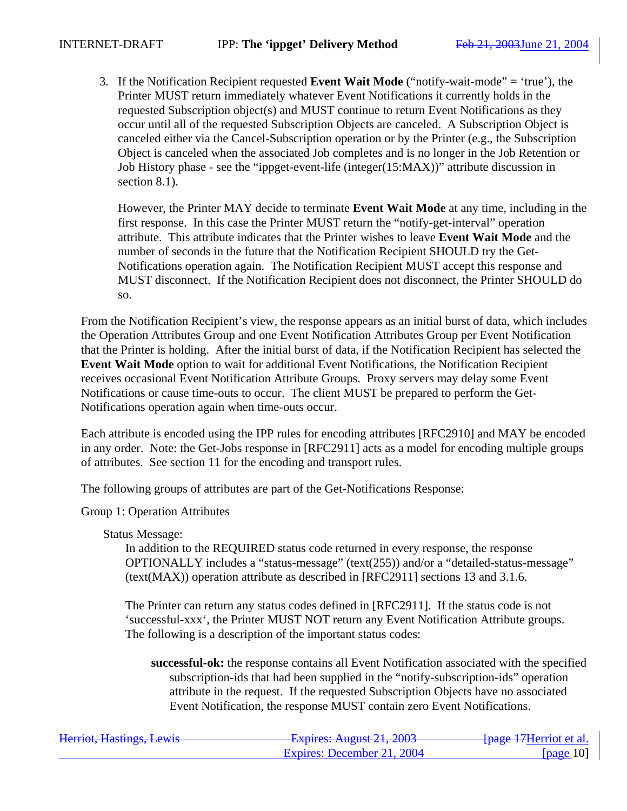3. If the Notification Recipient requested **Event Wait Mode** ("notify-wait-mode" = 'true'), the Printer MUST return immediately whatever Event Notifications it currently holds in the requested Subscription object(s) and MUST continue to return Event Notifications as they occur until all of the requested Subscription Objects are canceled. A Subscription Object is canceled either via the Cancel-Subscription operation or by the Printer (e.g., the Subscription Object is canceled when the associated Job completes and is no longer in the Job Retention or Job History phase - see the "ippget-event-life (integer(15:MAX))" attribute discussion in section 8.1).

However, the Printer MAY decide to terminate **Event Wait Mode** at any time, including in the first response. In this case the Printer MUST return the "notify-get-interval" operation attribute. This attribute indicates that the Printer wishes to leave **Event Wait Mode** and the number of seconds in the future that the Notification Recipient SHOULD try the Get-Notifications operation again. The Notification Recipient MUST accept this response and MUST disconnect. If the Notification Recipient does not disconnect, the Printer SHOULD do so.

From the Notification Recipient's view, the response appears as an initial burst of data, which includes the Operation Attributes Group and one Event Notification Attributes Group per Event Notification that the Printer is holding. After the initial burst of data, if the Notification Recipient has selected the **Event Wait Mode** option to wait for additional Event Notifications, the Notification Recipient receives occasional Event Notification Attribute Groups. Proxy servers may delay some Event Notifications or cause time-outs to occur. The client MUST be prepared to perform the Get-Notifications operation again when time-outs occur.

Each attribute is encoded using the IPP rules for encoding attributes [RFC2910] and MAY be encoded in any order. Note: the Get-Jobs response in [RFC2911] acts as a model for encoding multiple groups of attributes. See section 11 for the encoding and transport rules.

The following groups of attributes are part of the Get-Notifications Response:

Group 1: Operation Attributes

Status Message:

In addition to the REQUIRED status code returned in every response, the response OPTIONALLY includes a "status-message" (text(255)) and/or a "detailed-status-message" (text(MAX)) operation attribute as described in [RFC2911] sections 13 and 3.1.6.

The Printer can return any status codes defined in [RFC2911]. If the status code is not 'successful-xxx', the Printer MUST NOT return any Event Notification Attribute groups. The following is a description of the important status codes:

**successful-ok:** the response contains all Event Notification associated with the specified subscription-ids that had been supplied in the "notify-subscription-ids" operation attribute in the request. If the requested Subscription Objects have no associated Event Notification, the response MUST contain zero Event Notifications.

| Harriot Haetings Lawis<br>Helliot, Hastiligs, Lewis | Evnirac: $\Lambda$ ugust 21 2003<br>$T_{\text{up}}$ $T_{\text{up}}$ $T_{\text{up}}$ $T_{\text{up}}$ $T_{\text{up}}$ $T_{\text{up}}$ $T_{\text{up}}$ $T_{\text{up}}$ | <del>[page 17</del> Herriot et al. |
|-----------------------------------------------------|---------------------------------------------------------------------------------------------------------------------------------------------------------------------|------------------------------------|
|                                                     | Expires: December 21, 2004                                                                                                                                          | [ $page 10$ ]                      |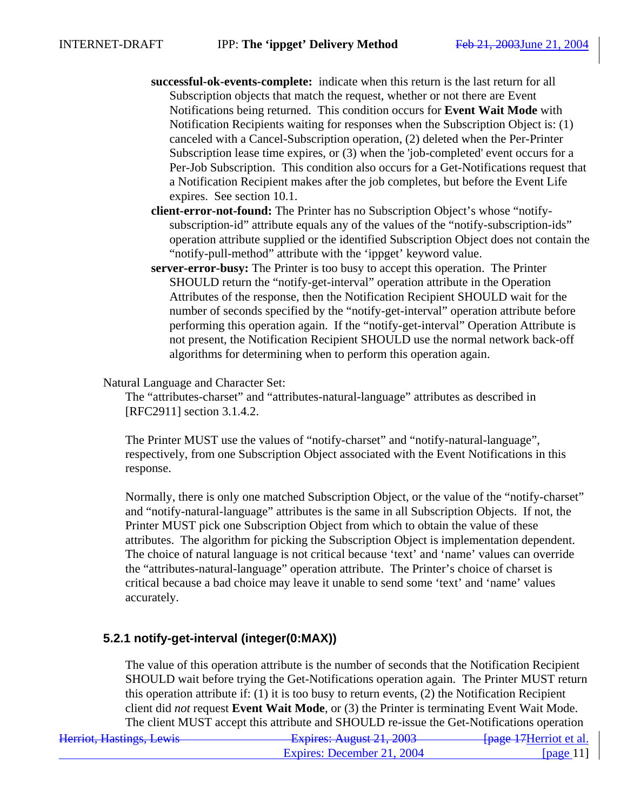- **successful-ok-events-complete:** indicate when this return is the last return for all Subscription objects that match the request, whether or not there are Event Notifications being returned. This condition occurs for **Event Wait Mode** with Notification Recipients waiting for responses when the Subscription Object is: (1) canceled with a Cancel-Subscription operation, (2) deleted when the Per-Printer Subscription lease time expires, or (3) when the 'job-completed' event occurs for a Per-Job Subscription. This condition also occurs for a Get-Notifications request that a Notification Recipient makes after the job completes, but before the Event Life expires. See section 10.1.
- **client-error-not-found:** The Printer has no Subscription Object's whose "notifysubscription-id" attribute equals any of the values of the "notify-subscription-ids" operation attribute supplied or the identified Subscription Object does not contain the "notify-pull-method" attribute with the 'ippget' keyword value.
- **server-error-busy:** The Printer is too busy to accept this operation. The Printer SHOULD return the "notify-get-interval" operation attribute in the Operation Attributes of the response, then the Notification Recipient SHOULD wait for the number of seconds specified by the "notify-get-interval" operation attribute before performing this operation again. If the "notify-get-interval" Operation Attribute is not present, the Notification Recipient SHOULD use the normal network back-off algorithms for determining when to perform this operation again.

#### Natural Language and Character Set:

The "attributes-charset" and "attributes-natural-language" attributes as described in [RFC2911] section 3.1.4.2.

The Printer MUST use the values of "notify-charset" and "notify-natural-language", respectively, from one Subscription Object associated with the Event Notifications in this response.

Normally, there is only one matched Subscription Object, or the value of the "notify-charset" and "notify-natural-language" attributes is the same in all Subscription Objects. If not, the Printer MUST pick one Subscription Object from which to obtain the value of these attributes. The algorithm for picking the Subscription Object is implementation dependent. The choice of natural language is not critical because 'text' and 'name' values can override the "attributes-natural-language" operation attribute. The Printer's choice of charset is critical because a bad choice may leave it unable to send some 'text' and 'name' values accurately.

### **5.2.1 notify-get-interval (integer(0:MAX))**

The value of this operation attribute is the number of seconds that the Notification Recipient SHOULD wait before trying the Get-Notifications operation again. The Printer MUST return this operation attribute if: (1) it is too busy to return events, (2) the Notification Recipient client did *not* request **Event Wait Mode**, or (3) the Printer is terminating Event Wait Mode. The client MUST accept this attribute and SHOULD re-issue the Get-Notifications operation

| Harriot Haetings Lawis<br>Helliot, Hastiligs, Lewis | $F$ Fynires: August 21, 2003<br><del>-Елрись, August 21, 2003</del> | <del>fpage 17</del> Herriot et al. |
|-----------------------------------------------------|---------------------------------------------------------------------|------------------------------------|
|                                                     | Expires: December 21, 2004                                          | $\lceil \text{page} \rceil \rceil$ |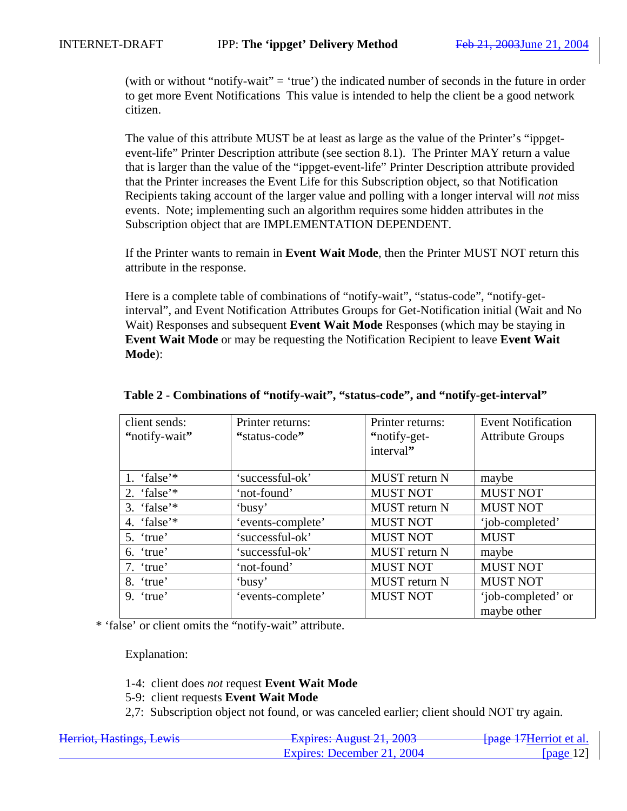(with or without "notify-wait" = 'true') the indicated number of seconds in the future in order to get more Event Notifications This value is intended to help the client be a good network citizen.

The value of this attribute MUST be at least as large as the value of the Printer's "ippgetevent-life" Printer Description attribute (see section 8.1). The Printer MAY return a value that is larger than the value of the "ippget-event-life" Printer Description attribute provided that the Printer increases the Event Life for this Subscription object, so that Notification Recipients taking account of the larger value and polling with a longer interval will *not* miss events. Note; implementing such an algorithm requires some hidden attributes in the Subscription object that are IMPLEMENTATION DEPENDENT.

If the Printer wants to remain in **Event Wait Mode**, then the Printer MUST NOT return this attribute in the response.

Here is a complete table of combinations of "notify-wait", "status-code", "notify-getinterval", and Event Notification Attributes Groups for Get-Notification initial (Wait and No Wait) Responses and subsequent **Event Wait Mode** Responses (which may be staying in **Event Wait Mode** or may be requesting the Notification Recipient to leave **Event Wait Mode**):

| client sends:<br>"notify-wait" | Printer returns:<br>"status-code" | Printer returns:<br>"notify-get-<br>interval" | <b>Event Notification</b><br><b>Attribute Groups</b> |
|--------------------------------|-----------------------------------|-----------------------------------------------|------------------------------------------------------|
| 1. 'false'*                    | 'successful-ok'                   | <b>MUST</b> return N                          | maybe                                                |
| 2. 'false'*                    | 'not-found'                       | <b>MUST NOT</b>                               | <b>MUST NOT</b>                                      |
| 3. 'false' $*$                 | 'busy'                            | <b>MUST</b> return N                          | <b>MUST NOT</b>                                      |
| 4. 'false'*                    | 'events-complete'                 | <b>MUST NOT</b>                               | 'job-completed'                                      |
| $5.$ 'true'                    | 'successful-ok'                   | <b>MUST NOT</b>                               | <b>MUST</b>                                          |
| 6. 'true'                      | 'successful-ok'                   | <b>MUST</b> return N                          | maybe                                                |
| 7. 'true'                      | 'not-found'                       | <b>MUST NOT</b>                               | <b>MUST NOT</b>                                      |
| 8. 'true'                      | 'busy'                            | <b>MUST</b> return N                          | <b>MUST NOT</b>                                      |
| $9.$ 'true'                    | 'events-complete'                 | <b>MUST NOT</b>                               | 'job-completed' or<br>maybe other                    |

#### **Table 2 - Combinations of "notify-wait", "status-code", and "notify-get-interval"**

\* 'false' or client omits the "notify-wait" attribute.

Explanation:

1-4: client does *not* request **Event Wait Mode**

5-9: client requests **Event Wait Mode**

2,7: Subscription object not found, or was canceled earlier; client should NOT try again.

| Harriot Hactings Lawis<br>Helliot, Hastiligs, Lewis | $F$ vnires: August 21 2003<br>T | <del>fpage 17</del> Herriot et al. |
|-----------------------------------------------------|---------------------------------|------------------------------------|
|                                                     | Expires: December 21, 2004      | [page $12$ ]                       |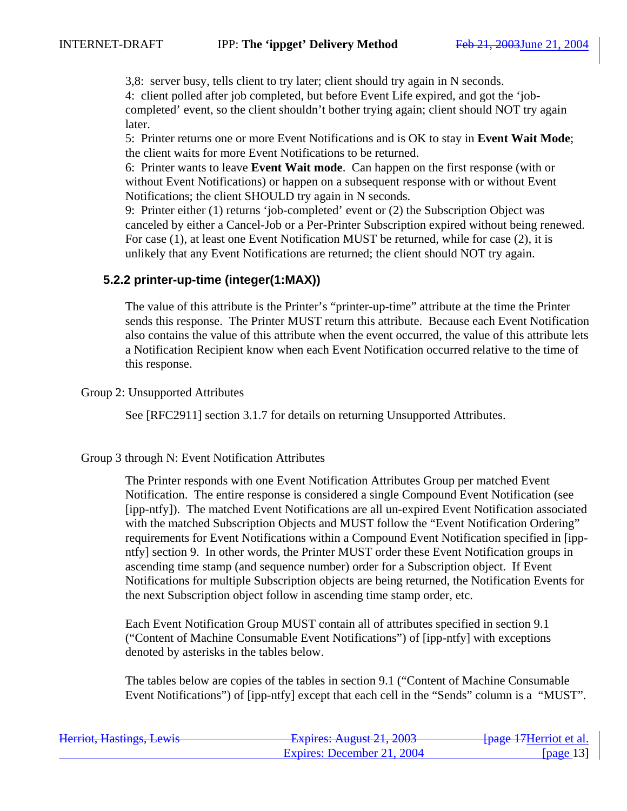3,8: server busy, tells client to try later; client should try again in N seconds. 4: client polled after job completed, but before Event Life expired, and got the 'jobcompleted' event, so the client shouldn't bother trying again; client should NOT try again later.

5: Printer returns one or more Event Notifications and is OK to stay in **Event Wait Mode**; the client waits for more Event Notifications to be returned.

6: Printer wants to leave **Event Wait mode**. Can happen on the first response (with or without Event Notifications) or happen on a subsequent response with or without Event Notifications; the client SHOULD try again in N seconds.

9: Printer either (1) returns 'job-completed' event or (2) the Subscription Object was canceled by either a Cancel-Job or a Per-Printer Subscription expired without being renewed. For case (1), at least one Event Notification MUST be returned, while for case (2), it is unlikely that any Event Notifications are returned; the client should NOT try again.

#### **5.2.2 printer-up-time (integer(1:MAX))**

The value of this attribute is the Printer's "printer-up-time" attribute at the time the Printer sends this response. The Printer MUST return this attribute. Because each Event Notification also contains the value of this attribute when the event occurred, the value of this attribute lets a Notification Recipient know when each Event Notification occurred relative to the time of this response.

Group 2: Unsupported Attributes

See [RFC2911] section 3.1.7 for details on returning Unsupported Attributes.

#### Group 3 through N: Event Notification Attributes

The Printer responds with one Event Notification Attributes Group per matched Event Notification. The entire response is considered a single Compound Event Notification (see [ipp-ntfy]). The matched Event Notifications are all un-expired Event Notification associated with the matched Subscription Objects and MUST follow the "Event Notification Ordering" requirements for Event Notifications within a Compound Event Notification specified in [ippntfy] section 9. In other words, the Printer MUST order these Event Notification groups in ascending time stamp (and sequence number) order for a Subscription object. If Event Notifications for multiple Subscription objects are being returned, the Notification Events for the next Subscription object follow in ascending time stamp order, etc.

Each Event Notification Group MUST contain all of attributes specified in section 9.1 ("Content of Machine Consumable Event Notifications") of [ipp-ntfy] with exceptions denoted by asterisks in the tables below.

The tables below are copies of the tables in section 9.1 ("Content of Machine Consumable Event Notifications") of [ipp-ntfy] except that each cell in the "Sends" column is a "MUST".

| Herriot, Hastings, Lewis | $F$ vnires: August 21, 2003<br><del>12 hadi co. August 21, 2003</del> | <del>fpage 17</del> Herriot et al. |
|--------------------------|-----------------------------------------------------------------------|------------------------------------|
|                          | Expires: December 21, 2004                                            | [page 13]                          |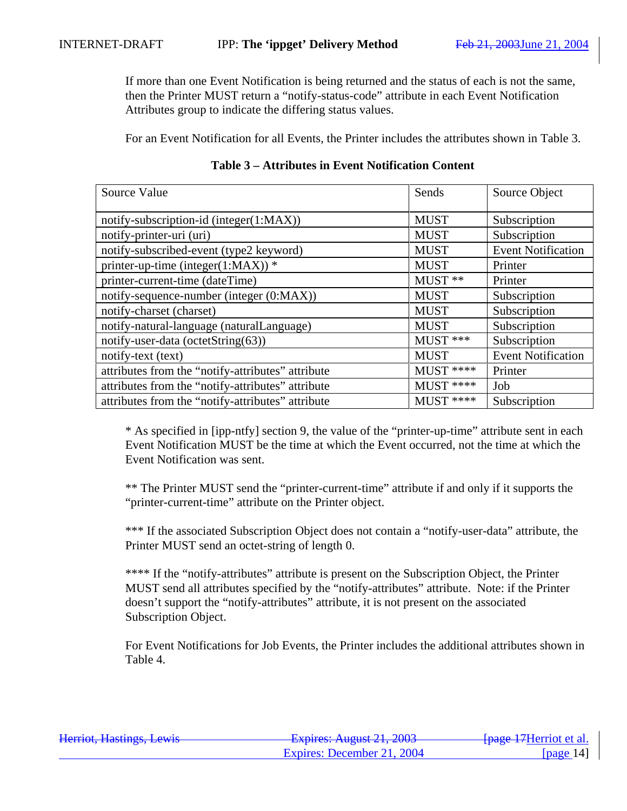If more than one Event Notification is being returned and the status of each is not the same, then the Printer MUST return a "notify-status-code" attribute in each Event Notification Attributes group to indicate the differing status values.

For an Event Notification for all Events, the Printer includes the attributes shown in Table 3.

| Source Value                                      | Sends       | Source Object             |
|---------------------------------------------------|-------------|---------------------------|
| notify-subscription-id (integer(1:MAX))           | <b>MUST</b> | Subscription              |
| notify-printer-uri (uri)                          | <b>MUST</b> | Subscription              |
| notify-subscribed-event (type2 keyword)           | <b>MUST</b> | <b>Event Notification</b> |
| printer-up-time (integer(1:MAX)) $*$              | <b>MUST</b> | Printer                   |
| printer-current-time (dateTime)                   | $MUST$ **   | Printer                   |
| notify-sequence-number (integer (0:MAX))          | <b>MUST</b> | Subscription              |
| notify-charset (charset)                          | <b>MUST</b> | Subscription              |
| notify-natural-language (naturalLanguage)         | <b>MUST</b> | Subscription              |
| notify-user-data (octetString(63))                | $MUST$ ***  | Subscription              |
| notify-text (text)                                | <b>MUST</b> | <b>Event Notification</b> |
| attributes from the "notify-attributes" attribute | MUST ****   | Printer                   |
| attributes from the "notify-attributes" attribute | $MUST$ **** | Job                       |
| attributes from the "notify-attributes" attribute | $MUST$ **** | Subscription              |

## **Table 3 – Attributes in Event Notification Content**

\* As specified in [ipp-ntfy] section 9, the value of the "printer-up-time" attribute sent in each Event Notification MUST be the time at which the Event occurred, not the time at which the Event Notification was sent.

\*\* The Printer MUST send the "printer-current-time" attribute if and only if it supports the "printer-current-time" attribute on the Printer object.

\*\*\* If the associated Subscription Object does not contain a "notify-user-data" attribute, the Printer MUST send an octet-string of length 0.

\*\*\*\* If the "notify-attributes" attribute is present on the Subscription Object, the Printer MUST send all attributes specified by the "notify-attributes" attribute. Note: if the Printer doesn't support the "notify-attributes" attribute, it is not present on the associated Subscription Object.

For Event Notifications for Job Events, the Printer includes the additional attributes shown in Table 4.

| Harriot Haetings Lawis<br>Hernot, Hastings, Lewis | $F$ Fynires: August 21, 2003<br>$\frac{1}{4}$ $\frac{1}{4}$ $\frac{1}{4}$ $\frac{1}{4}$ $\frac{1}{4}$ $\frac{1}{4}$ $\frac{1}{4}$ $\frac{1}{4}$ $\frac{1}{4}$ $\frac{1}{4}$ $\frac{1}{4}$ $\frac{1}{4}$ $\frac{1}{4}$ $\frac{1}{4}$ $\frac{1}{4}$ $\frac{1}{4}$ $\frac{1}{4}$ $\frac{1}{4}$ $\frac{1}{4}$ $\frac{1}{4}$ $\frac{1}{4}$ $\frac{1}{4}$ | <del>fpage 17</del> Herriot et al. |
|---------------------------------------------------|-----------------------------------------------------------------------------------------------------------------------------------------------------------------------------------------------------------------------------------------------------------------------------------------------------------------------------------------------------|------------------------------------|
|                                                   | Expires: December 21, 2004                                                                                                                                                                                                                                                                                                                          | page 14                            |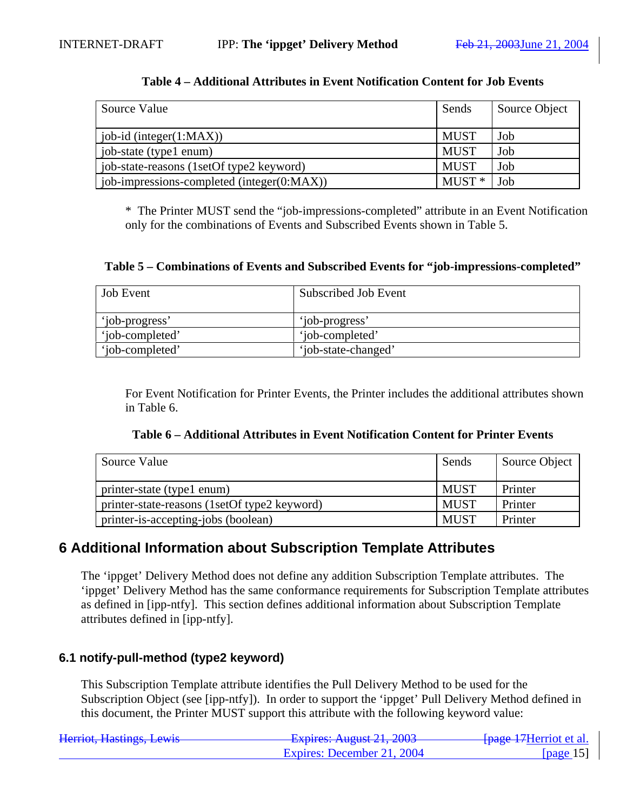| Source Value                               | Sends       | Source Object |
|--------------------------------------------|-------------|---------------|
| $\vert$ job-id (integer(1:MAX))            | <b>MUST</b> | Job           |
| job-state (type1 enum)                     | <b>MUST</b> | Job           |
| job-state-reasons (1setOf type2 keyword)   | <b>MUST</b> | Job           |
| job-impressions-completed (integer(0:MAX)) | $MUST*$     | Job           |

#### **Table 4 – Additional Attributes in Event Notification Content for Job Events**

\* The Printer MUST send the "job-impressions-completed" attribute in an Event Notification only for the combinations of Events and Subscribed Events shown in Table 5.

#### **Table 5 – Combinations of Events and Subscribed Events for "job-impressions-completed"**

| <b>Job</b> Event | Subscribed Job Event |
|------------------|----------------------|
| 'iob-progress'   | 'iob-progress'       |
| 'iob-completed'  | 'iob-completed'      |
| 'iob-completed'  | 'job-state-changed'  |

For Event Notification for Printer Events, the Printer includes the additional attributes shown in Table 6.

| Table 6 – Additional Attributes in Event Notification Content for Printer Events |  |  |
|----------------------------------------------------------------------------------|--|--|
|----------------------------------------------------------------------------------|--|--|

| Source Value                                 | Sends       | Source Object |
|----------------------------------------------|-------------|---------------|
| printer-state (type1 enum)                   | <b>MUST</b> | Printer       |
| printer-state-reasons (1setOf type2 keyword) | <b>MUST</b> | Printer       |
| printer-is-accepting-jobs (boolean)          | <b>MUST</b> | Printer       |

## **6 Additional Information about Subscription Template Attributes**

The 'ippget' Delivery Method does not define any addition Subscription Template attributes. The 'ippget' Delivery Method has the same conformance requirements for Subscription Template attributes as defined in [ipp-ntfy]. This section defines additional information about Subscription Template attributes defined in [ipp-ntfy].

### **6.1 notify-pull-method (type2 keyword)**

This Subscription Template attribute identifies the Pull Delivery Method to be used for the Subscription Object (see [ipp-ntfy]). In order to support the 'ippget' Pull Delivery Method defined in this document, the Printer MUST support this attribute with the following keyword value:

| Harriot Hactings Lawis<br>Hemot, Hastings, Lewis | Evnirac: $\Lambda$ ugust 21 2003<br>$\frac{1}{4}$ | <del>fpage 17</del> Herriot et al. |
|--------------------------------------------------|---------------------------------------------------|------------------------------------|
|                                                  | Expires: December 21, 2004                        | [page $15$ ]                       |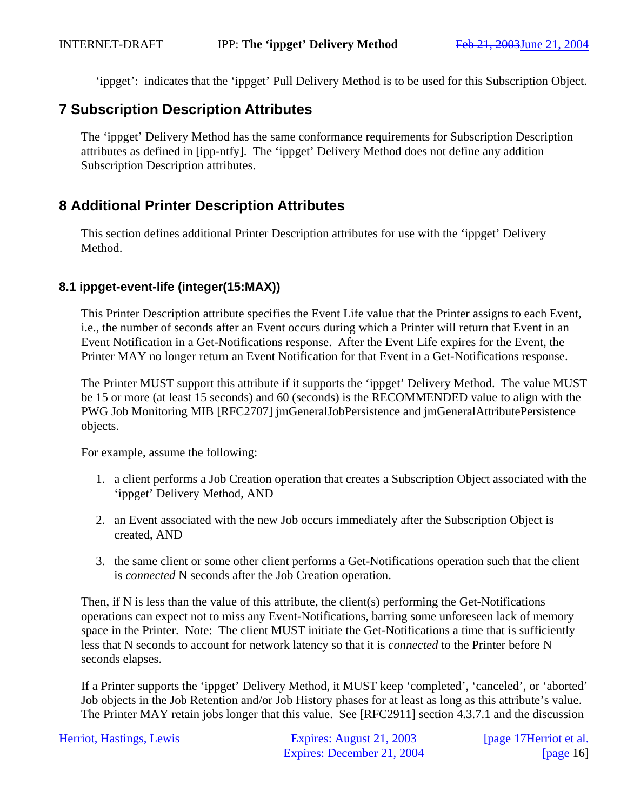'ippget': indicates that the 'ippget' Pull Delivery Method is to be used for this Subscription Object.

## **7 Subscription Description Attributes**

The 'ippget' Delivery Method has the same conformance requirements for Subscription Description attributes as defined in [ipp-ntfy]. The 'ippget' Delivery Method does not define any addition Subscription Description attributes.

## **8 Additional Printer Description Attributes**

This section defines additional Printer Description attributes for use with the 'ippget' Delivery Method.

## **8.1 ippget-event-life (integer(15:MAX))**

This Printer Description attribute specifies the Event Life value that the Printer assigns to each Event, i.e., the number of seconds after an Event occurs during which a Printer will return that Event in an Event Notification in a Get-Notifications response. After the Event Life expires for the Event, the Printer MAY no longer return an Event Notification for that Event in a Get-Notifications response.

The Printer MUST support this attribute if it supports the 'ippget' Delivery Method. The value MUST be 15 or more (at least 15 seconds) and 60 (seconds) is the RECOMMENDED value to align with the PWG Job Monitoring MIB [RFC2707] jmGeneralJobPersistence and jmGeneralAttributePersistence objects.

For example, assume the following:

- 1. a client performs a Job Creation operation that creates a Subscription Object associated with the 'ippget' Delivery Method, AND
- 2. an Event associated with the new Job occurs immediately after the Subscription Object is created, AND
- 3. the same client or some other client performs a Get-Notifications operation such that the client is *connected* N seconds after the Job Creation operation.

Then, if N is less than the value of this attribute, the client(s) performing the Get-Notifications operations can expect not to miss any Event-Notifications, barring some unforeseen lack of memory space in the Printer. Note: The client MUST initiate the Get-Notifications a time that is sufficiently less that N seconds to account for network latency so that it is *connected* to the Printer before N seconds elapses.

If a Printer supports the 'ippget' Delivery Method, it MUST keep 'completed', 'canceled', or 'aborted' Job objects in the Job Retention and/or Job History phases for at least as long as this attribute's value. The Printer MAY retain jobs longer that this value. See [RFC2911] section 4.3.7.1 and the discussion

| Harriot Hactings Lawis<br>Hemot, Hastings, Lewis | $F$ $\frac{1}{2}$ $\frac{1}{2}$ $\frac{1}{2}$ $\frac{1}{2}$ $\frac{1}{2}$ $\frac{1}{2}$ $\frac{1}{2}$ $\frac{1}{2}$ $\frac{1}{2}$ $\frac{1}{2}$ $\frac{1}{2}$ $\frac{1}{2}$ $\frac{1}{2}$ $\frac{1}{2}$ $\frac{1}{2}$ $\frac{1}{2}$ $\frac{1}{2}$ $\frac{1}{2}$ $\frac{1}{2}$ $\frac{1}{2}$ $\frac{1}{2}$ $\frac{1}{2$<br>$T^2$ $T^2$ $T^2$ $T^2$ $T^2$ $T^2$ $T^2$ $T^2$ $T^2$ $T^2$ $T^2$ $T^2$ $T^2$ $T^2$ $T^2$ $T^2$ $T^2$ $T^2$ $T^2$ $T^2$ $T^2$ $T^2$ $T^2$ $T^2$ $T^2$ $T^2$ $T^2$ $T^2$ $T^2$ $T^2$ $T^2$ $T^2$ $T^2$ $T^2$ $T^2$ $T^2$ $T^2$ | <del>[page 17</del> Herriot et al. |
|--------------------------------------------------|---------------------------------------------------------------------------------------------------------------------------------------------------------------------------------------------------------------------------------------------------------------------------------------------------------------------------------------------------------------------------------------------------------------------------------------------------------------------------------------------------------------------------------------------------------|------------------------------------|
|                                                  | Expires: December 21, 2004                                                                                                                                                                                                                                                                                                                                                                                                                                                                                                                              | [ $page 16$ ]                      |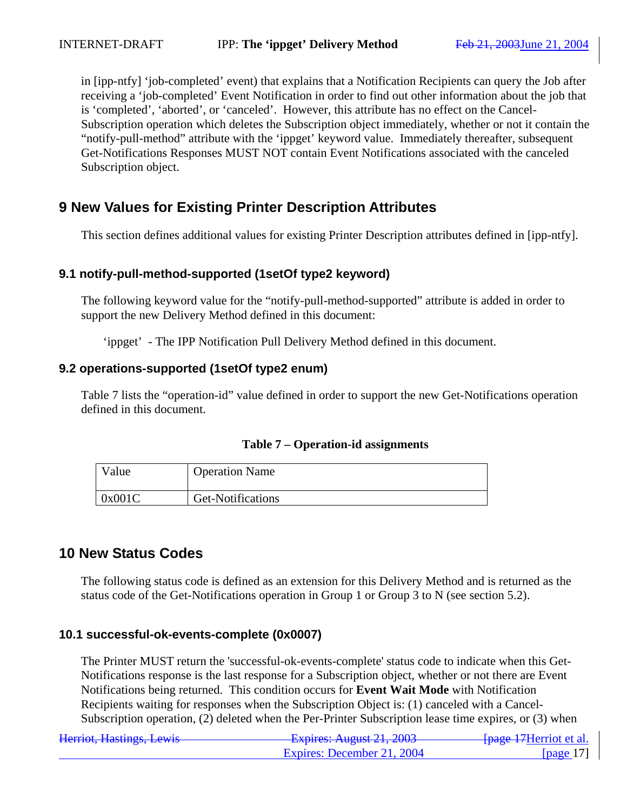in [ipp-ntfy] 'job-completed' event) that explains that a Notification Recipients can query the Job after receiving a 'job-completed' Event Notification in order to find out other information about the job that is 'completed', 'aborted', or 'canceled'. However, this attribute has no effect on the Cancel-Subscription operation which deletes the Subscription object immediately, whether or not it contain the "notify-pull-method" attribute with the 'ippget' keyword value. Immediately thereafter, subsequent Get-Notifications Responses MUST NOT contain Event Notifications associated with the canceled Subscription object.

## **9 New Values for Existing Printer Description Attributes**

This section defines additional values for existing Printer Description attributes defined in [ipp-ntfy].

## **9.1 notify-pull-method-supported (1setOf type2 keyword)**

The following keyword value for the "notify-pull-method-supported" attribute is added in order to support the new Delivery Method defined in this document:

'ippget' - The IPP Notification Pull Delivery Method defined in this document.

### **9.2 operations-supported (1setOf type2 enum)**

Table 7 lists the "operation-id" value defined in order to support the new Get-Notifications operation defined in this document.

|  | Table 7 – Operation-id assignments |  |
|--|------------------------------------|--|
|--|------------------------------------|--|

| Value  | <b>Operation Name</b> |
|--------|-----------------------|
| 0x001C | Get-Notifications     |

## **10 New Status Codes**

The following status code is defined as an extension for this Delivery Method and is returned as the status code of the Get-Notifications operation in Group 1 or Group 3 to N (see section 5.2).

### **10.1 successful-ok-events-complete (0x0007)**

The Printer MUST return the 'successful-ok-events-complete' status code to indicate when this Get-Notifications response is the last response for a Subscription object, whether or not there are Event Notifications being returned. This condition occurs for **Event Wait Mode** with Notification Recipients waiting for responses when the Subscription Object is: (1) canceled with a Cancel-Subscription operation, (2) deleted when the Per-Printer Subscription lease time expires, or (3) when

| Herriot, Hastings, Lewis | $F$ $V$ nirac: August 21, 2003<br><del>12лрнев. Андизі 21, 2003</del> | <del>fpage 17</del> Herriot et al. |
|--------------------------|-----------------------------------------------------------------------|------------------------------------|
|                          | Expires: December 21, 2004                                            | [page $17$ ]                       |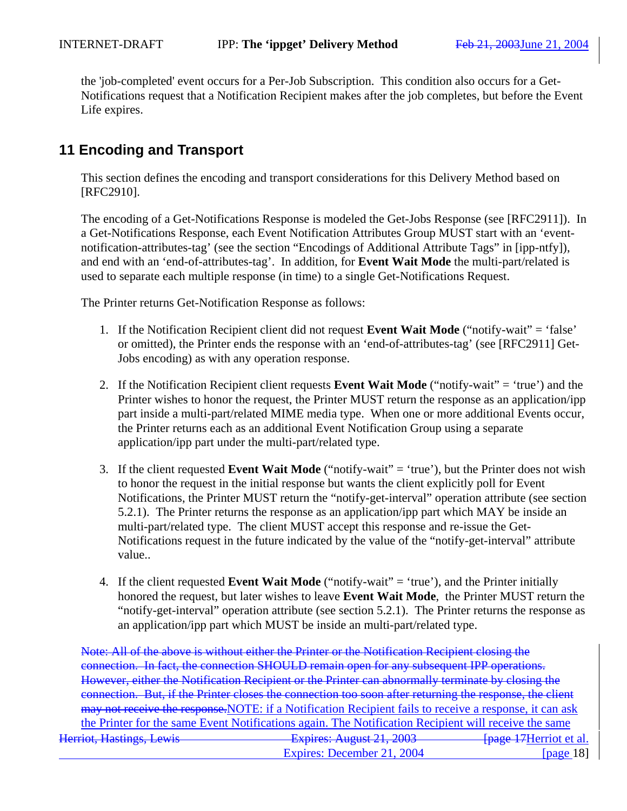the 'job-completed' event occurs for a Per-Job Subscription. This condition also occurs for a Get-Notifications request that a Notification Recipient makes after the job completes, but before the Event Life expires.

## **11 Encoding and Transport**

This section defines the encoding and transport considerations for this Delivery Method based on [RFC2910].

The encoding of a Get-Notifications Response is modeled the Get-Jobs Response (see [RFC2911]). In a Get-Notifications Response, each Event Notification Attributes Group MUST start with an 'eventnotification-attributes-tag' (see the section "Encodings of Additional Attribute Tags" in [ipp-ntfy]), and end with an 'end-of-attributes-tag'. In addition, for **Event Wait Mode** the multi-part/related is used to separate each multiple response (in time) to a single Get-Notifications Request.

The Printer returns Get-Notification Response as follows:

- 1. If the Notification Recipient client did not request **Event Wait Mode** ("notify-wait" = 'false' or omitted), the Printer ends the response with an 'end-of-attributes-tag' (see [RFC2911] Get-Jobs encoding) as with any operation response.
- 2. If the Notification Recipient client requests **Event Wait Mode** ("notify-wait" = 'true') and the Printer wishes to honor the request, the Printer MUST return the response as an application/ipp part inside a multi-part/related MIME media type. When one or more additional Events occur, the Printer returns each as an additional Event Notification Group using a separate application/ipp part under the multi-part/related type.
- 3. If the client requested **Event Wait Mode** ("notify-wait" = 'true'), but the Printer does not wish to honor the request in the initial response but wants the client explicitly poll for Event Notifications, the Printer MUST return the "notify-get-interval" operation attribute (see section 5.2.1). The Printer returns the response as an application/ipp part which MAY be inside an multi-part/related type. The client MUST accept this response and re-issue the Get-Notifications request in the future indicated by the value of the "notify-get-interval" attribute value..
- 4. If the client requested **Event Wait Mode** ("notify-wait" = 'true'), and the Printer initially honored the request, but later wishes to leave **Event Wait Mode**, the Printer MUST return the "notify-get-interval" operation attribute (see section 5.2.1). The Printer returns the response as an application/ipp part which MUST be inside an multi-part/related type.

Herriot, Hastings, Lewis **Expires: August 21, 2003** [page 17Herriot et al.] Expires: December 21, 2004 [page 18] Note: All of the above is without either the Printer or the Notification Recipient closing the connection. In fact, the connection SHOULD remain open for any subsequent IPP operations. However, either the Notification Recipient or the Printer can abnormally terminate by closing the connection. But, if the Printer closes the connection too soon after returning the response, the client may not receive the response.NOTE: if a Notification Recipient fails to receive a response, it can ask the Printer for the same Event Notifications again. The Notification Recipient will receive the same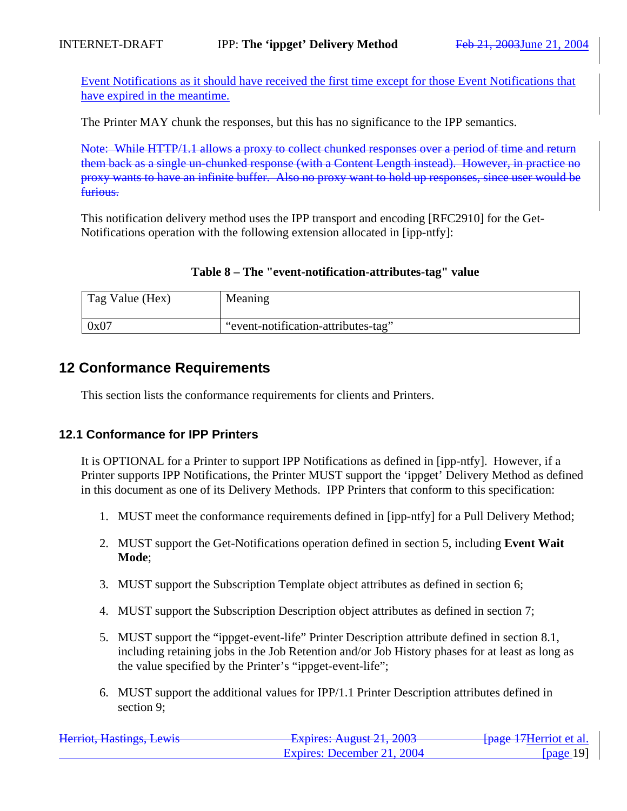Event Notifications as it should have received the first time except for those Event Notifications that have expired in the meantime.

The Printer MAY chunk the responses, but this has no significance to the IPP semantics.

Note: While HTTP/1.1 allows a proxy to collect chunked responses over a period of time and return them back as a single un-chunked response (with a Content Length instead). However, in practice no proxy wants to have an infinite buffer. Also no proxy want to hold up responses, since user would be furious.

This notification delivery method uses the IPP transport and encoding [RFC2910] for the Get-Notifications operation with the following extension allocated in [ipp-ntfy]:

|  |  | Table 8 – The "event-notification-attributes-tag" value |  |
|--|--|---------------------------------------------------------|--|
|--|--|---------------------------------------------------------|--|

| Tag Value (Hex) | Meaning                             |
|-----------------|-------------------------------------|
| 0x07            | "event-notification-attributes-tag" |

## **12 Conformance Requirements**

This section lists the conformance requirements for clients and Printers.

## **12.1 Conformance for IPP Printers**

It is OPTIONAL for a Printer to support IPP Notifications as defined in [ipp-ntfy]. However, if a Printer supports IPP Notifications, the Printer MUST support the 'ippget' Delivery Method as defined in this document as one of its Delivery Methods. IPP Printers that conform to this specification:

- 1. MUST meet the conformance requirements defined in [ipp-ntfy] for a Pull Delivery Method;
- 2. MUST support the Get-Notifications operation defined in section 5, including **Event Wait Mode**;
- 3. MUST support the Subscription Template object attributes as defined in section 6;
- 4. MUST support the Subscription Description object attributes as defined in section 7;
- 5. MUST support the "ippget-event-life" Printer Description attribute defined in section 8.1, including retaining jobs in the Job Retention and/or Job History phases for at least as long as the value specified by the Printer's "ippget-event-life";
- 6. MUST support the additional values for IPP/1.1 Printer Description attributes defined in section 9;

| Harriot Hactings Lawis<br>Hemot, Hastings, Lewis | $F$ $\frac{1}{2}$ $\frac{1}{2}$ $\frac{1}{2}$ $\frac{1}{2}$ $\frac{1}{2}$ $\frac{1}{2}$ $\frac{1}{2}$ $\frac{1}{2}$ $\frac{1}{2}$ $\frac{1}{2}$ $\frac{1}{2}$ $\frac{1}{2}$ $\frac{1}{2}$ $\frac{1}{2}$ $\frac{1}{2}$ $\frac{1}{2}$ $\frac{1}{2}$ $\frac{1}{2}$ $\frac{1}{2}$ $\frac{1}{2}$ $\frac{1}{2}$ $\frac{1}{2$<br><del>12 phos. August 21, 2003</del> | <del>f page 17</del> Herriot et al. |
|--------------------------------------------------|---------------------------------------------------------------------------------------------------------------------------------------------------------------------------------------------------------------------------------------------------------------------------------------------------------------------------------------------------------------|-------------------------------------|
|                                                  | Expires: December 21, 2004                                                                                                                                                                                                                                                                                                                                    | [page $19$ ]                        |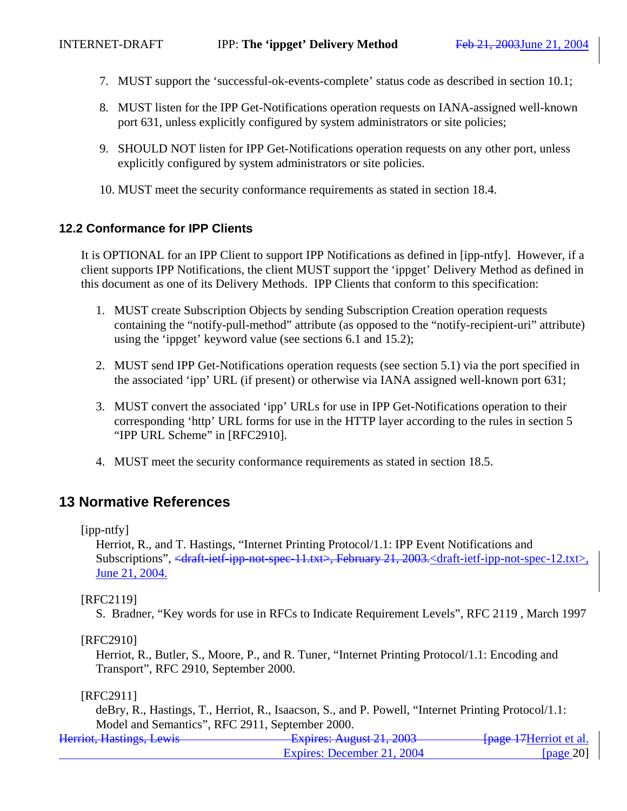- 7. MUST support the 'successful-ok-events-complete' status code as described in section 10.1;
- 8. MUST listen for the IPP Get-Notifications operation requests on IANA-assigned well-known port 631, unless explicitly configured by system administrators or site policies;
- 9. SHOULD NOT listen for IPP Get-Notifications operation requests on any other port, unless explicitly configured by system administrators or site policies.
- 10. MUST meet the security conformance requirements as stated in section 18.4.

### **12.2 Conformance for IPP Clients**

It is OPTIONAL for an IPP Client to support IPP Notifications as defined in [ipp-ntfy]. However, if a client supports IPP Notifications, the client MUST support the 'ippget' Delivery Method as defined in this document as one of its Delivery Methods. IPP Clients that conform to this specification:

- 1. MUST create Subscription Objects by sending Subscription Creation operation requests containing the "notify-pull-method" attribute (as opposed to the "notify-recipient-uri" attribute) using the 'ippget' keyword value (see sections 6.1 and 15.2);
- 2. MUST send IPP Get-Notifications operation requests (see section 5.1) via the port specified in the associated 'ipp' URL (if present) or otherwise via IANA assigned well-known port 631;
- 3. MUST convert the associated 'ipp' URLs for use in IPP Get-Notifications operation to their corresponding 'http' URL forms for use in the HTTP layer according to the rules in section 5 "IPP URL Scheme" in [RFC2910].
- 4. MUST meet the security conformance requirements as stated in section 18.5.

## **13 Normative References**

[ipp-ntfy]

Herriot, R., and T. Hastings, "Internet Printing Protocol/1.1: IPP Event Notifications and Subscriptions", <draft-ietf-ipp-not-spec-11.txt>, February 21, 2003.<draft-ietf-ipp-not-spec-12.txt>, June 21, 2004.

#### [RFC2119]

S. Bradner, "Key words for use in RFCs to Indicate Requirement Levels", RFC 2119 , March 1997

[RFC2910]

Herriot, R., Butler, S., Moore, P., and R. Tuner, "Internet Printing Protocol/1.1: Encoding and Transport", RFC 2910, September 2000.

#### [RFC2911]

deBry, R., Hastings, T., Herriot, R., Isaacson, S., and P. Powell, "Internet Printing Protocol/1.1: Model and Semantics", RFC 2911, September 2000.

| Harriot Hactings Lawis<br>Helliot, Hastiligs, Lewis | $F$ $\frac{1}{2}$ $\frac{1}{2}$ $\frac{1}{2}$ $\frac{1}{2}$ $\frac{1}{2}$ $\frac{1}{2}$ $\frac{1}{2}$ $\frac{1}{2}$ $\frac{1}{2}$ $\frac{1}{2}$ $\frac{1}{2}$ $\frac{1}{2}$ $\frac{1}{2}$ $\frac{1}{2}$ $\frac{1}{2}$ $\frac{1}{2}$ $\frac{1}{2}$ $\frac{1}{2}$ $\frac{1}{2}$ $\frac{1}{2}$ $\frac{1}{2}$ $\frac{1}{2$<br><del>Lapnes. August 21, 2003</del> | <del>fpage 17</del> Herriot et al. |
|-----------------------------------------------------|--------------------------------------------------------------------------------------------------------------------------------------------------------------------------------------------------------------------------------------------------------------------------------------------------------------------------------------------------------------|------------------------------------|
|                                                     | Expires: December 21, 2004                                                                                                                                                                                                                                                                                                                                   | [page $20$ ]                       |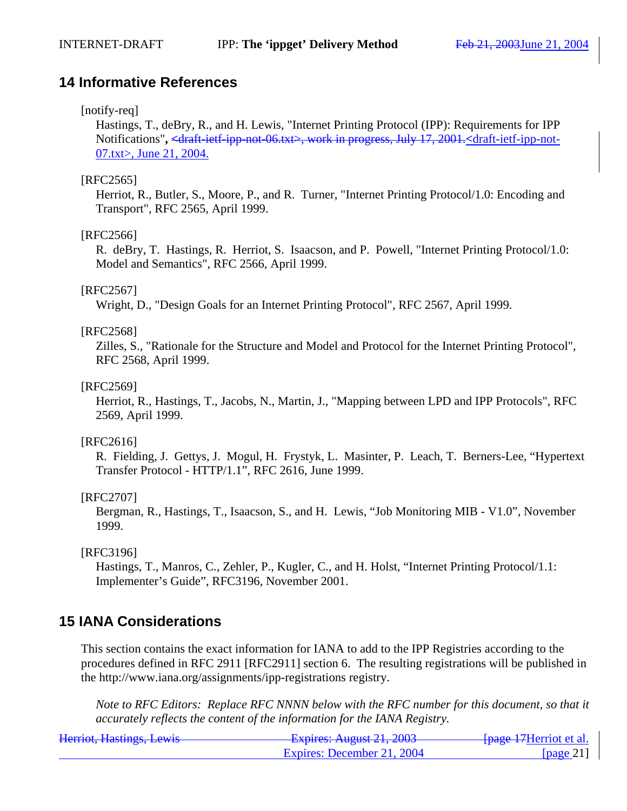## **14 Informative References**

### [notify-req]

Hastings, T., deBry, R., and H. Lewis, "Internet Printing Protocol (IPP): Requirements for IPP Notifications"**, <**draft-ietf-ipp-not-06.txt>, work in progress, July 17, 2001.**<**draft-ietf-ipp-not-07.txt>, June 21, 2004.

### [RFC2565]

Herriot, R., Butler, S., Moore, P., and R. Turner, "Internet Printing Protocol/1.0: Encoding and Transport", RFC 2565, April 1999.

### [RFC2566]

R. deBry, T. Hastings, R. Herriot, S. Isaacson, and P. Powell, "Internet Printing Protocol/1.0: Model and Semantics", RFC 2566, April 1999.

### [RFC2567]

Wright, D., "Design Goals for an Internet Printing Protocol", RFC 2567, April 1999.

### [RFC2568]

Zilles, S., "Rationale for the Structure and Model and Protocol for the Internet Printing Protocol", RFC 2568, April 1999.

### [RFC2569]

Herriot, R., Hastings, T., Jacobs, N., Martin, J., "Mapping between LPD and IPP Protocols", RFC 2569, April 1999.

#### [RFC2616]

R. Fielding, J. Gettys, J. Mogul, H. Frystyk, L. Masinter, P. Leach, T. Berners-Lee, "Hypertext Transfer Protocol - HTTP/1.1", RFC 2616, June 1999.

### [RFC2707]

Bergman, R., Hastings, T., Isaacson, S., and H. Lewis, "Job Monitoring MIB - V1.0", November 1999.

#### [RFC3196]

Hastings, T., Manros, C., Zehler, P., Kugler, C., and H. Holst, "Internet Printing Protocol/1.1: Implementer's Guide", RFC3196, November 2001.

## **15 IANA Considerations**

This section contains the exact information for IANA to add to the IPP Registries according to the procedures defined in RFC 2911 [RFC2911] section 6. The resulting registrations will be published in the http://www.iana.org/assignments/ipp-registrations registry.

*Note to RFC Editors: Replace RFC NNNN below with the RFC number for this document, so that it accurately reflects the content of the information for the IANA Registry.*

| Harriot Hactings Lawis<br>Hennot, Hastings, Lewis | $F$ Fynires: August 21, 2003 | <del>[page 17</del> Herriot et al. |
|---------------------------------------------------|------------------------------|------------------------------------|
|                                                   | Expires: December 21, 2004   | [page 21]                          |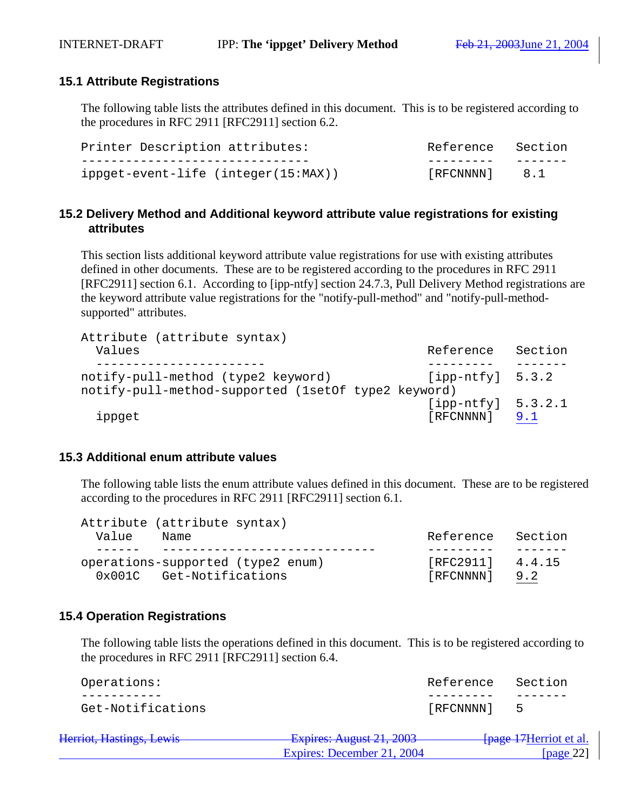### **15.1 Attribute Registrations**

The following table lists the attributes defined in this document. This is to be registered according to the procedures in RFC 2911 [RFC2911] section 6.2.

| Printer Description attributes:     | Reference Section   |          |
|-------------------------------------|---------------------|----------|
|                                     |                     | ________ |
| ippget-event-life (integer(15:MAX)) | $[$ RFCNNNN $]$ 8.1 |          |

### **15.2 Delivery Method and Additional keyword attribute value registrations for existing attributes**

This section lists additional keyword attribute value registrations for use with existing attributes defined in other documents. These are to be registered according to the procedures in RFC 2911 [RFC2911] section 6.1. According to [ipp-ntfy] section 24.7.3, Pull Delivery Method registrations are the keyword attribute value registrations for the "notify-pull-method" and "notify-pull-methodsupported" attributes.

Attribute (attribute syntax) Values and the section of the Section of the Section of the Section of the Section of the Section of the Section ----------------------- --------- ------ notify-pull-method (type2 keyword) [ipp-ntfy] 5.3.2 notify-pull-method-supported (1setOf type2 keyword) [ipp-ntfy] 5.3.2.1 ippget [RFCNNNN] 9.1

#### **15.3 Additional enum attribute values**

The following table lists the enum attribute values defined in this document. These are to be registered according to the procedures in RFC 2911 [RFC2911] section 6.1.

|       | Attribute (attribute syntax) |                                   |                  |         |
|-------|------------------------------|-----------------------------------|------------------|---------|
| Value | Name                         |                                   | Reference        | Section |
|       |                              |                                   |                  |         |
|       |                              | operations-supported (type2 enum) | [RFC2911] 4.4.15 |         |
|       | 0x001C Get-Notifications     |                                   | [RFCNNNN]        | 9.2     |

### **15.4 Operation Registrations**

The following table lists the operations defined in this document. This is to be registered according to the procedures in RFC 2911 [RFC2911] section 6.4.

| Operations:                                                   |                                                               | Reference | Section                            |
|---------------------------------------------------------------|---------------------------------------------------------------|-----------|------------------------------------|
|                                                               |                                                               |           |                                    |
| Get-Notifications                                             |                                                               | [RFCNNNN] | ь.                                 |
| Harriot Hactings Lawis<br><del>fichiol, maslings, lowis</del> | $F$ vnirac: August 21, 2003<br><u> LAUTRE Ruguel 41, 4000</u> |           | <del>[page 17</del> Herriot et al. |

Expires: December 21, 2004 [page 22]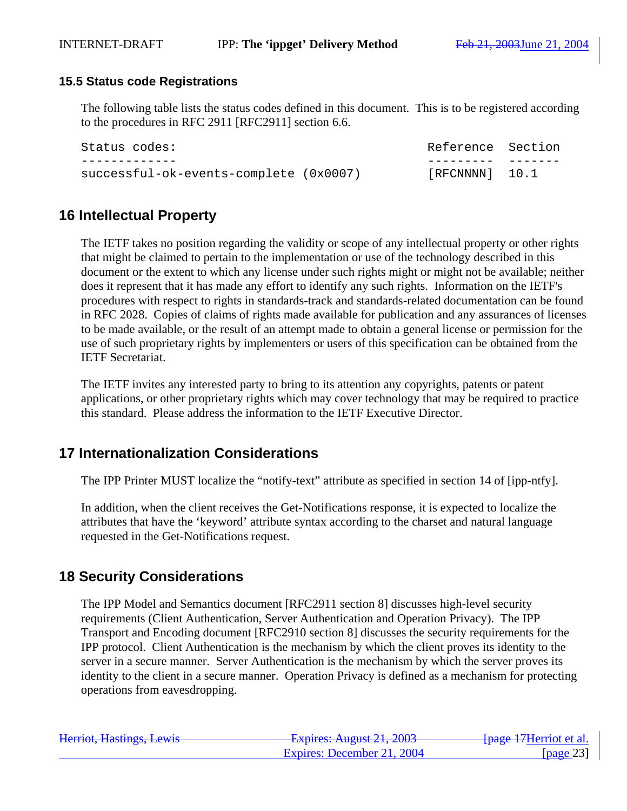### **15.5 Status code Registrations**

The following table lists the status codes defined in this document. This is to be registered according to the procedures in RFC 2911 [RFC2911] section 6.6.

| Status codes:                          | Reference Section    |  |
|----------------------------------------|----------------------|--|
|                                        |                      |  |
| successful-ok-events-complete (0x0007) | $[$ RFCNNNN $]$ 10.1 |  |

## **16 Intellectual Property**

The IETF takes no position regarding the validity or scope of any intellectual property or other rights that might be claimed to pertain to the implementation or use of the technology described in this document or the extent to which any license under such rights might or might not be available; neither does it represent that it has made any effort to identify any such rights. Information on the IETF's procedures with respect to rights in standards-track and standards-related documentation can be found in RFC 2028. Copies of claims of rights made available for publication and any assurances of licenses to be made available, or the result of an attempt made to obtain a general license or permission for the use of such proprietary rights by implementers or users of this specification can be obtained from the IETF Secretariat.

The IETF invites any interested party to bring to its attention any copyrights, patents or patent applications, or other proprietary rights which may cover technology that may be required to practice this standard. Please address the information to the IETF Executive Director.

## **17 Internationalization Considerations**

The IPP Printer MUST localize the "notify-text" attribute as specified in section 14 of [ipp-ntfy].

In addition, when the client receives the Get-Notifications response, it is expected to localize the attributes that have the 'keyword' attribute syntax according to the charset and natural language requested in the Get-Notifications request.

## **18 Security Considerations**

The IPP Model and Semantics document [RFC2911 section 8] discusses high-level security requirements (Client Authentication, Server Authentication and Operation Privacy). The IPP Transport and Encoding document [RFC2910 section 8] discusses the security requirements for the IPP protocol. Client Authentication is the mechanism by which the client proves its identity to the server in a secure manner. Server Authentication is the mechanism by which the server proves its identity to the client in a secure manner. Operation Privacy is defined as a mechanism for protecting operations from eavesdropping.

| Herriot, Hastings, Lewis | $F$ $\frac{1}{2}$ $\frac{1}{2}$ $\frac{1}{2}$ $\frac{1}{2}$ $\frac{1}{2}$ $\frac{1}{2}$ $\frac{1}{2}$ $\frac{1}{2}$ $\frac{1}{2}$ $\frac{1}{2}$ $\frac{1}{2}$ $\frac{1}{2}$ $\frac{1}{2}$ $\frac{1}{2}$ $\frac{1}{2}$ $\frac{1}{2}$ $\frac{1}{2}$ $\frac{1}{2}$ $\frac{1}{2}$ $\frac{1}{2}$ $\frac{1}{2}$ $\frac{1}{2$<br><del>12лрнев. Андизі 21, 2003</del> | <del>fpage 17</del> Herriot et al. |
|--------------------------|---------------------------------------------------------------------------------------------------------------------------------------------------------------------------------------------------------------------------------------------------------------------------------------------------------------------------------------------------------------|------------------------------------|
|                          | Expires: December 21, 2004                                                                                                                                                                                                                                                                                                                                    | [ $page 23$ ]                      |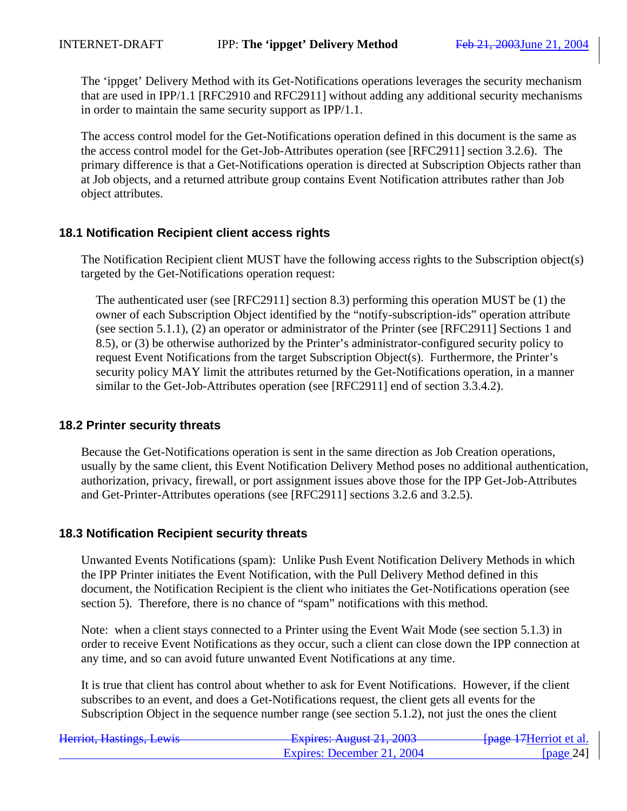The 'ippget' Delivery Method with its Get-Notifications operations leverages the security mechanism that are used in IPP/1.1 [RFC2910 and RFC2911] without adding any additional security mechanisms in order to maintain the same security support as IPP/1.1.

The access control model for the Get-Notifications operation defined in this document is the same as the access control model for the Get-Job-Attributes operation (see [RFC2911] section 3.2.6). The primary difference is that a Get-Notifications operation is directed at Subscription Objects rather than at Job objects, and a returned attribute group contains Event Notification attributes rather than Job object attributes.

### **18.1 Notification Recipient client access rights**

The Notification Recipient client MUST have the following access rights to the Subscription object(s) targeted by the Get-Notifications operation request:

The authenticated user (see [RFC2911] section 8.3) performing this operation MUST be (1) the owner of each Subscription Object identified by the "notify-subscription-ids" operation attribute (see section 5.1.1), (2) an operator or administrator of the Printer (see [RFC2911] Sections 1 and 8.5), or (3) be otherwise authorized by the Printer's administrator-configured security policy to request Event Notifications from the target Subscription Object(s). Furthermore, the Printer's security policy MAY limit the attributes returned by the Get-Notifications operation, in a manner similar to the Get-Job-Attributes operation (see [RFC2911] end of section 3.3.4.2).

### **18.2 Printer security threats**

Because the Get-Notifications operation is sent in the same direction as Job Creation operations, usually by the same client, this Event Notification Delivery Method poses no additional authentication, authorization, privacy, firewall, or port assignment issues above those for the IPP Get-Job-Attributes and Get-Printer-Attributes operations (see [RFC2911] sections 3.2.6 and 3.2.5).

#### **18.3 Notification Recipient security threats**

Unwanted Events Notifications (spam): Unlike Push Event Notification Delivery Methods in which the IPP Printer initiates the Event Notification, with the Pull Delivery Method defined in this document, the Notification Recipient is the client who initiates the Get-Notifications operation (see section 5). Therefore, there is no chance of "spam" notifications with this method.

Note: when a client stays connected to a Printer using the Event Wait Mode (see section 5.1.3) in order to receive Event Notifications as they occur, such a client can close down the IPP connection at any time, and so can avoid future unwanted Event Notifications at any time.

It is true that client has control about whether to ask for Event Notifications. However, if the client subscribes to an event, and does a Get-Notifications request, the client gets all events for the Subscription Object in the sequence number range (see section 5.1.2), not just the ones the client

| Harriot Hactings Lawis<br>Hemot, Hastings, Lewis | $F$ Fynires: August 21, 2003<br>$T^*$ | <del>fpage 17</del> Herriot et al. |
|--------------------------------------------------|---------------------------------------|------------------------------------|
|                                                  | Expires: December 21, 2004            | [ $page 24$ ]                      |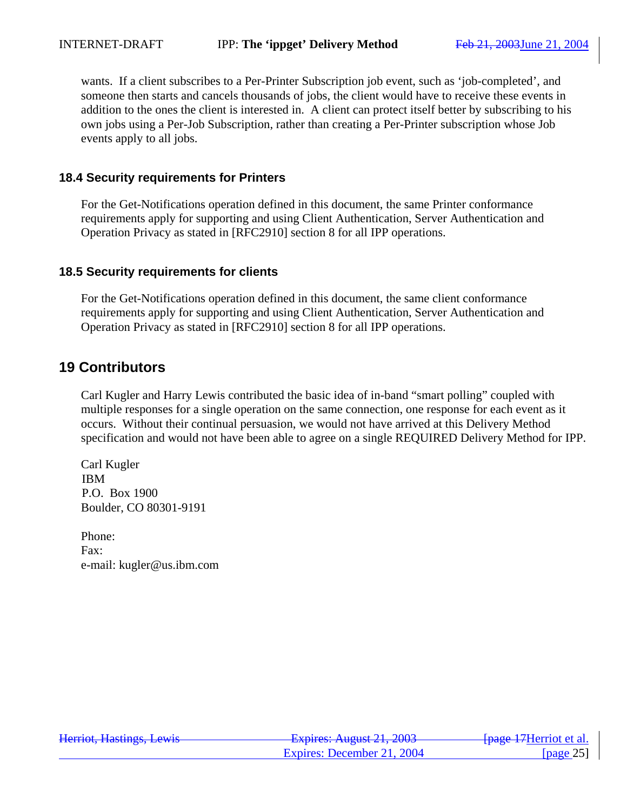wants. If a client subscribes to a Per-Printer Subscription job event, such as 'job-completed', and someone then starts and cancels thousands of jobs, the client would have to receive these events in addition to the ones the client is interested in. A client can protect itself better by subscribing to his own jobs using a Per-Job Subscription, rather than creating a Per-Printer subscription whose Job events apply to all jobs.

### **18.4 Security requirements for Printers**

For the Get-Notifications operation defined in this document, the same Printer conformance requirements apply for supporting and using Client Authentication, Server Authentication and Operation Privacy as stated in [RFC2910] section 8 for all IPP operations.

#### **18.5 Security requirements for clients**

For the Get-Notifications operation defined in this document, the same client conformance requirements apply for supporting and using Client Authentication, Server Authentication and Operation Privacy as stated in [RFC2910] section 8 for all IPP operations.

## **19 Contributors**

Carl Kugler and Harry Lewis contributed the basic idea of in-band "smart polling" coupled with multiple responses for a single operation on the same connection, one response for each event as it occurs. Without their continual persuasion, we would not have arrived at this Delivery Method specification and would not have been able to agree on a single REQUIRED Delivery Method for IPP.

Carl Kugler IBM P.O. Box 1900 Boulder, CO 80301-9191

Phone: Fax: e-mail: kugler@us.ibm.com

| Harriot Hactings Lawis<br>Hemot, Hastings, Lewis | $F$ Fynires: August 21, 2003<br>$T^*$ | <del>fpage 17</del> Herriot et al. |
|--------------------------------------------------|---------------------------------------|------------------------------------|
|                                                  | Expires: December 21, 2004            | [ $page 25$ ]                      |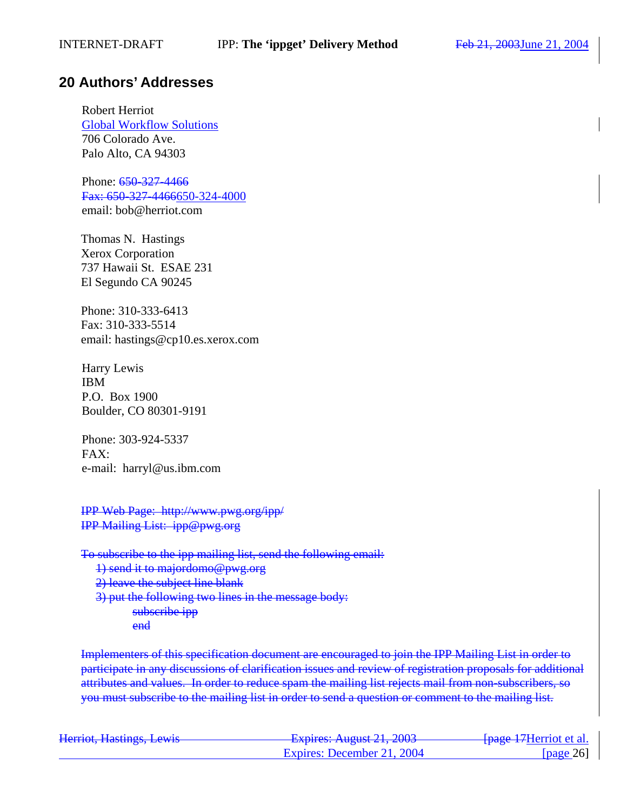## **20 Authors' Addresses**

Robert Herriot Global Workflow Solutions 706 Colorado Ave. Palo Alto, CA 94303

Phone: 650-327-4466 Fax: 650-327-4466650-324-4000 email: bob@herriot.com

Thomas N. Hastings Xerox Corporation 737 Hawaii St. ESAE 231 El Segundo CA 90245

Phone: 310-333-6413 Fax: 310-333-5514 email: hastings@cp10.es.xerox.com

Harry Lewis IBM P.O. Box 1900 Boulder, CO 80301-9191

Phone: 303-924-5337 FAX: e-mail: harryl@us.ibm.com

IPP Web Page: http://www.pwg.org/ipp/ IPP Mailing List: ipp@pwg.org

To subscribe to the ipp mailing list, send the following email:

1) send it to majordomo@pwg.org

2) leave the subject line blank

3) put the following two lines in the message body: subscribe ipp

end

Implementers of this specification document are encouraged to join the IPP Mailing List in order to participate in any discussions of clarification issues and review of registration proposals for additional attributes and values. In order to reduce spam the mailing list rejects mail from non-subscribers, so you must subscribe to the mailing list in order to send a question or comment to the mailing list.

| Harriot Hactings Lawis<br>Hemot, Hastings, Lewis | Evnirac: $\Lambda$ ugust 21. 2003.<br>$\text{Lapireb. The graph } \text{Lip.}$ | <del>[page 17</del> Herriot et al. |
|--------------------------------------------------|--------------------------------------------------------------------------------|------------------------------------|
|                                                  | Expires: December 21, 2004                                                     | [ $page 26$ ]                      |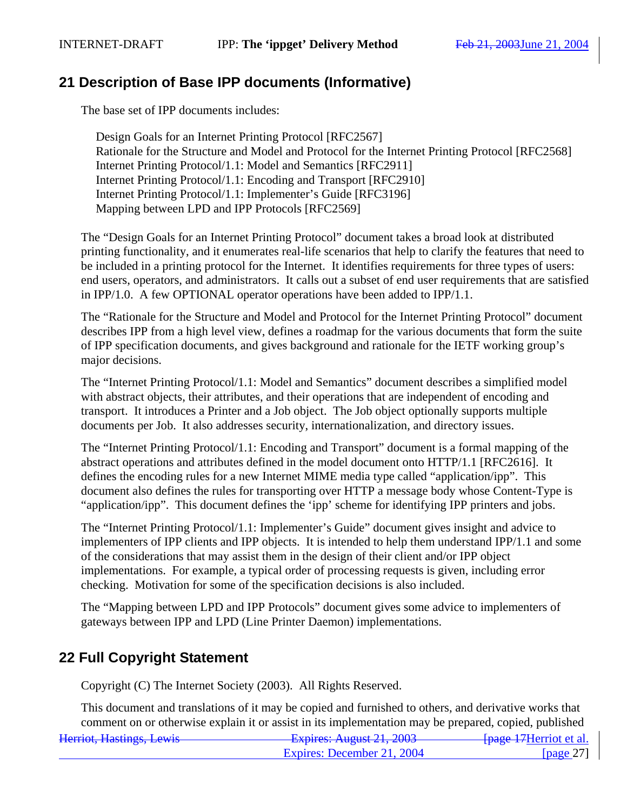## **21 Description of Base IPP documents (Informative)**

The base set of IPP documents includes:

Design Goals for an Internet Printing Protocol [RFC2567] Rationale for the Structure and Model and Protocol for the Internet Printing Protocol [RFC2568] Internet Printing Protocol/1.1: Model and Semantics [RFC2911] Internet Printing Protocol/1.1: Encoding and Transport [RFC2910] Internet Printing Protocol/1.1: Implementer's Guide [RFC3196] Mapping between LPD and IPP Protocols [RFC2569]

The "Design Goals for an Internet Printing Protocol" document takes a broad look at distributed printing functionality, and it enumerates real-life scenarios that help to clarify the features that need to be included in a printing protocol for the Internet. It identifies requirements for three types of users: end users, operators, and administrators. It calls out a subset of end user requirements that are satisfied in IPP/1.0. A few OPTIONAL operator operations have been added to IPP/1.1.

The "Rationale for the Structure and Model and Protocol for the Internet Printing Protocol" document describes IPP from a high level view, defines a roadmap for the various documents that form the suite of IPP specification documents, and gives background and rationale for the IETF working group's major decisions.

The "Internet Printing Protocol/1.1: Model and Semantics" document describes a simplified model with abstract objects, their attributes, and their operations that are independent of encoding and transport. It introduces a Printer and a Job object. The Job object optionally supports multiple documents per Job. It also addresses security, internationalization, and directory issues.

The "Internet Printing Protocol/1.1: Encoding and Transport" document is a formal mapping of the abstract operations and attributes defined in the model document onto HTTP/1.1 [RFC2616]. It defines the encoding rules for a new Internet MIME media type called "application/ipp". This document also defines the rules for transporting over HTTP a message body whose Content-Type is "application/ipp". This document defines the 'ipp' scheme for identifying IPP printers and jobs.

The "Internet Printing Protocol/1.1: Implementer's Guide" document gives insight and advice to implementers of IPP clients and IPP objects. It is intended to help them understand IPP/1.1 and some of the considerations that may assist them in the design of their client and/or IPP object implementations. For example, a typical order of processing requests is given, including error checking. Motivation for some of the specification decisions is also included.

The "Mapping between LPD and IPP Protocols" document gives some advice to implementers of gateways between IPP and LPD (Line Printer Daemon) implementations.

## **22 Full Copyright Statement**

Copyright (C) The Internet Society (2003). All Rights Reserved.

Herriot, Hastings, Lewis **Expires: August 21, 2003** [page 17Herriot et al.] This document and translations of it may be copied and furnished to others, and derivative works that comment on or otherwise explain it or assist in its implementation may be prepared, copied, published

| $-$ - $\frac{1}{2}$ - $\frac{1}{2}$ - $\frac{1}{2}$ - $\frac{1}{2}$ - $\frac{1}{2}$ - $\frac{1}{2}$ - $\frac{1}{2}$ - $\frac{1}{2}$ - $\frac{1}{2}$ - $\frac{1}{2}$ |              |
|---------------------------------------------------------------------------------------------------------------------------------------------------------------------|--------------|
| Expires: December 21, 2004                                                                                                                                          | [page $27$ ] |
|                                                                                                                                                                     |              |